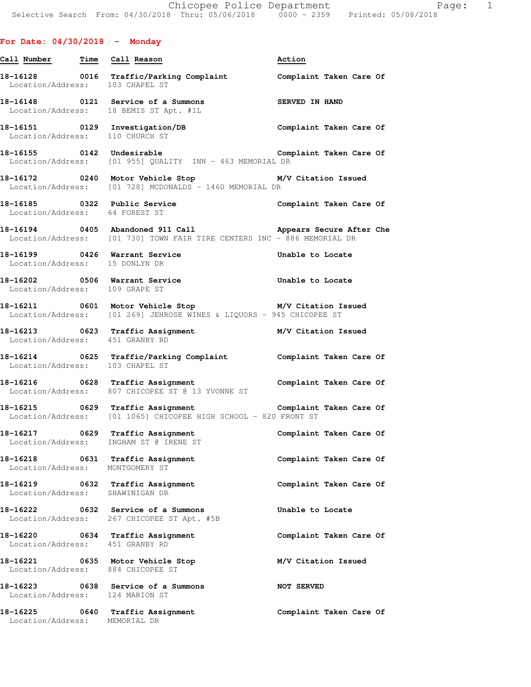## **For Date: 04/30/2018 - Monday**

| Call Number Time Call Reason                |                                                                                                                                             | Action                  |
|---------------------------------------------|---------------------------------------------------------------------------------------------------------------------------------------------|-------------------------|
| Location/Address: 103 CHAPEL ST             | 18-16128 0016 Traffic/Parking Complaint Complaint Taken Care Of                                                                             |                         |
|                                             | 18-16148 0121 Service of a Summons<br>Location/Address: 18 BEMIS ST Apt. #1L                                                                | SERVED IN HAND          |
| Location/Address: 110 CHURCH ST             | 18-16151 0129 Investigation/DB                                                                                                              | Complaint Taken Care Of |
|                                             | 18-16155 0142 Undesirable<br>Location/Address: [01 955] QUALITY INN - 463 MEMORIAL DR                                                       | Complaint Taken Care Of |
|                                             | 18-16172 0240 Motor Vehicle Stop M/V Citation Issued<br>Location/Address: [01 728] MCDONALDS - 1460 MEMORIAL DR                             |                         |
| Location/Address: 64 FOREST ST              | 18-16185 0322 Public Service                                                                                                                | Complaint Taken Care Of |
|                                             | 18-16194 		 0405 Abandoned 911 Call 		 Appears Secure After Che<br>Location/Address: [01 730] TOWN FAIR TIRE CENTERS INC - 886 MEMORIAL DR  |                         |
| Location/Address: 15 DONLYN DR              | 18-16199 0426 Warrant Service                                                                                                               | Unable to Locate        |
| Location/Address: 109 GRAPE ST              | 18-16202 18-16202 0506 Warrant Service 19 and the Unable to Locate                                                                          |                         |
|                                             | 18-16211 0601 Motor Vehicle Stop M/V Citation Issued<br>Location/Address: [01 269] JENROSE WINES & LIQUORS - 945 CHICOPEE ST                |                         |
| Location/Address: 451 GRANBY RD             | 18-16213 0623 Traffic Assignment 18-16213 M/V Citation Issued                                                                               |                         |
| Location/Address: 103 CHAPEL ST             | 18-16214 0625 Traffic/Parking Complaint <b>Complaint Taken Care Of</b>                                                                      |                         |
|                                             | 18-16216 0628 Traffic Assignment<br>Location/Address: 807 CHICOPEE ST @ 13 YVONNE ST                                                        | Complaint Taken Care Of |
|                                             | 18-16215 0629 Traffic Assignment <b>18-16216</b> Complaint Taken Care Of<br>Location/Address: [01 1065] CHICOPEE HIGH SCHOOL - 820 FRONT ST |                         |
|                                             | 18-16217 0629 Traffic Assignment<br>Location/Address: INGHAM ST @ IRENE ST                                                                  | Complaint Taken Care Of |
| 18-16218<br>Location/Address: MONTGOMERY ST | 0631 Traffic Assignment                                                                                                                     | Complaint Taken Care Of |
|                                             | 18-16219 0632 Traffic Assignment<br>Location/Address: SHAWINIGAN DR                                                                         | Complaint Taken Care Of |
|                                             | 18-16222 0632 Service of a Summons<br>Location/Address: 267 CHICOPEE ST Apt. #5B                                                            | Unable to Locate        |
|                                             | 18-16220 0634 Traffic Assignment<br>Location/Address: 451 GRANBY RD                                                                         | Complaint Taken Care Of |
|                                             | 18-16221 0635 Motor Vehicle Stop<br>Location/Address: 884 CHICOPEE ST                                                                       | M/V Citation Issued     |
|                                             | 18-16223 0638 Service of a Summons<br>Location/Address: 124 MARION ST                                                                       | <b>NOT SERVED</b>       |
| Location/Address: MEMORIAL DR               | 18-16225 0640 Traffic Assignment                                                                                                            | Complaint Taken Care Of |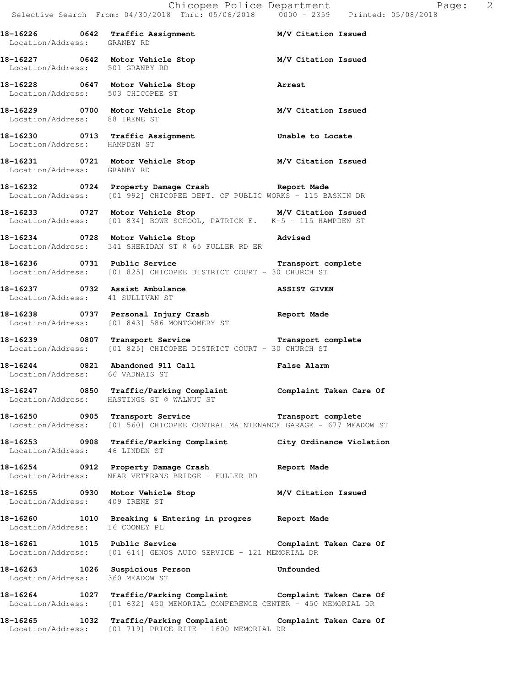**18-16226 0642 Traffic Assignment M/V Citation Issued**  Location/Address: GRANBY RD **18-16227 0642 Motor Vehicle Stop M/V Citation Issued**  Location/Address: 501 GRANBY RD **18-16228 0647 Motor Vehicle Stop Arrest**  Location/Address: 503 CHICOPEE ST **18-16229 0700 Motor Vehicle Stop M/V Citation Issued**  Location/Address: 88 IRENE ST **18-16230 0713 Traffic Assignment Unable to Locate**  Location/Address: HAMPDEN ST **18-16231 0721 Motor Vehicle Stop M/V Citation Issued**  Location/Address: GRANBY RD **18-16232 0724 Property Damage Crash Report Made**  Location/Address: [01 992] CHICOPEE DEPT. OF PUBLIC WORKS - 115 BASKIN DR **18-16233 0727 Motor Vehicle Stop M/V Citation Issued**  Location/Address: [01 834] BOWE SCHOOL, PATRICK E. K-5 - 115 HAMPDEN ST **18-16234 0728 Motor Vehicle Stop Advised**  Location/Address: 341 SHERIDAN ST @ 65 FULLER RD ER **18-16236 0731 Public Service Transport complete**  Location/Address: [01 825] CHICOPEE DISTRICT COURT - 30 CHURCH ST **18-16237 0732 Assist Ambulance ASSIST GIVEN**  Location/Address: 41 SULLIVAN ST **18-16238 0737 Personal Injury Crash Report Made**  Location/Address: [01 843] 586 MONTGOMERY ST **18-16239 0807 Transport Service Transport complete**  Location/Address: [01 825] CHICOPEE DISTRICT COURT - 30 CHURCH ST **18-16244 0821 Abandoned 911 Call False Alarm**  Location/Address: 66 VADNAIS ST **18-16247 0850 Traffic/Parking Complaint Complaint Taken Care Of**  Location/Address: HASTINGS ST @ WALNUT ST **18-16250 0905 Transport Service Transport complete**  Location/Address: [01 560] CHICOPEE CENTRAL MAINTENANCE GARAGE - 677 MEADOW ST **18-16253 0908 Traffic/Parking Complaint City Ordinance Violation**  Location/Address: 46 LINDEN ST **18-16254 0912 Property Damage Crash Report Made**  Location/Address: NEAR VETERANS BRIDGE - FULLER RD **18-16255 0930 Motor Vehicle Stop M/V Citation Issued**  Location/Address: 409 IRENE ST **18-16260 1010 Breaking & Entering in progres Report Made**  Location/Address: 16 COONEY PL 18-16261 1015 Public Service **18 Complaint Taken Care Of** Location/Address: [01 614] GENOS AUTO SERVICE - 121 MEMORIAL DR **18-16263 1026 Suspicious Person Unfounded**  Location/Address: 360 MEADOW ST **18-16264 1027 Traffic/Parking Complaint Complaint Taken Care Of**  Location/Address: [01 632] 450 MEMORIAL CONFERENCE CENTER - 450 MEMORIAL DR **18-16265 1032 Traffic/Parking Complaint Complaint Taken Care Of**  Location/Address: [01 719] PRICE RITE - 1600 MEMORIAL DR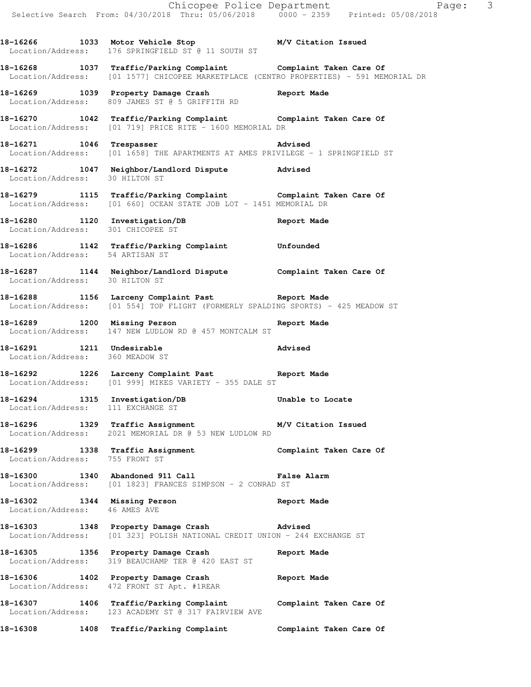**18-16266 1033 Motor Vehicle Stop M/V Citation Issued**  Location/Address: 176 SPRINGFIELD ST @ 11 SOUTH ST

**18-16268 1037 Traffic/Parking Complaint Complaint Taken Care Of**  Location/Address: [01 1577] CHICOPEE MARKETPLACE (CENTRO PROPERTIES) - 591 MEMORIAL DR

**18-16269 1039 Property Damage Crash Report Made**  Location/Address: 809 JAMES ST @ 5 GRIFFITH RD

**18-16270 1042 Traffic/Parking Complaint Complaint Taken Care Of**  Location/Address: [01 719] PRICE RITE - 1600 MEMORIAL DR

**18-16271 1046 Trespasser Advised**  Location/Address: [01 1658] THE APARTMENTS AT AMES PRIVILEGE - 1 SPRINGFIELD ST

**18-16272 1047 Neighbor/Landlord Dispute Advised**  Location/Address: 30 HILTON ST

**18-16279 1115 Traffic/Parking Complaint Complaint Taken Care Of**  Location/Address: [01 660] OCEAN STATE JOB LOT - 1451 MEMORIAL DR

**18-16280 1120 Investigation/DB Report Made**  Location/Address: 301 CHICOPEE ST

**18-16286 1142 Traffic/Parking Complaint Unfounded**  Location/Address: 54 ARTISAN ST

**18-16287 1144 Neighbor/Landlord Dispute Complaint Taken Care Of**  Location/Address: 30 HILTON ST

**18-16288 1156 Larceny Complaint Past Report Made**  Location/Address: [01 554] TOP FLIGHT (FORMERLY SPALDING SPORTS) - 425 MEADOW ST

**18-16289 1200 Missing Person Report Made**  Location/Address: 147 NEW LUDLOW RD @ 457 MONTCALM ST

**18-16291 1211 Undesirable Advised**  Location/Address: 360 MEADOW ST

**18-16292 1226 Larceny Complaint Past Report Made**  Location/Address: [01 999] MIKES VARIETY - 355 DALE ST

**18-16294 1315 Investigation/DB Unable to Locate**  Location/Address: 111 EXCHANGE ST

**18-16296 1329 Traffic Assignment M/V Citation Issued**  Location/Address: 2021 MEMORIAL DR @ 53 NEW LUDLOW RD

**18-16299 1338 Traffic Assignment Complaint Taken Care Of**  Location/Address: 755 FRONT ST

**18-16300 1340 Abandoned 911 Call False Alarm**  Location/Address: [01 1823] FRANCES SIMPSON - 2 CONRAD ST

**18-16302 1344 Missing Person Report Made**  Location/Address: 46 AMES AVE

**18-16303 1348 Property Damage Crash Advised**  Location/Address: [01 323] POLISH NATIONAL CREDIT UNION - 244 EXCHANGE ST

**18-16305 1356 Property Damage Crash Report Made**  Location/Address: 319 BEAUCHAMP TER @ 420 EAST ST

**18-16306 1402 Property Damage Crash Report Made**  Location/Address: 472 FRONT ST Apt. #1REAR

**18-16307 1406 Traffic/Parking Complaint Complaint Taken Care Of**  Location/Address: 123 ACADEMY ST @ 317 FAIRVIEW AVE

**18-16308 1408 Traffic/Parking Complaint Complaint Taken Care Of**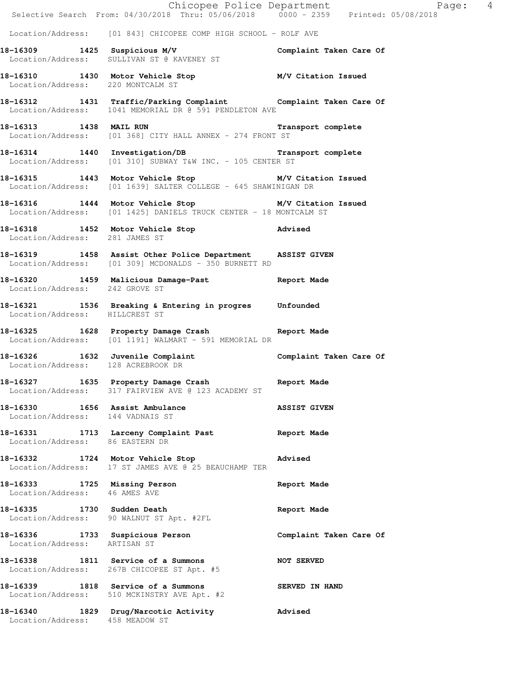|                                                                    | Selective Search From: 04/30/2018 Thru: 05/06/2018 0000 - 2359 Printed: 05/08/2018                                        | Chicopee Police Department<br>Page: 4 |
|--------------------------------------------------------------------|---------------------------------------------------------------------------------------------------------------------------|---------------------------------------|
|                                                                    | Location/Address: [01 843] CHICOPEE COMP HIGH SCHOOL - ROLF AVE                                                           |                                       |
|                                                                    | 18-16309 1425 Suspicious M/V<br>Location/Address: SULLIVAN ST @ KAVENEY ST                                                | Complaint Taken Care Of               |
| Location/Address: 220 MONTCALM ST                                  | 18-16310 1430 Motor Vehicle Stop M/V Citation Issued                                                                      |                                       |
|                                                                    | 18-16312 1431 Traffic/Parking Complaint Complaint Taken Care Of<br>Location/Address: 1041 MEMORIAL DR @ 591 PENDLETON AVE |                                       |
|                                                                    | 18-16313 1438 MAIL RUN 2008 12 Transport complete<br>Location/Address: [01 368] CITY HALL ANNEX - 274 FRONT ST            |                                       |
| 18-16314 1440 Investigation/DB                                     | Location/Address: [01 310] SUBWAY T&W INC. - 105 CENTER ST                                                                | Transport complete                    |
|                                                                    | 18-16315 1443 Motor Vehicle Stop M/V Citation Issued<br>Location/Address: [01 1639] SALTER COLLEGE - 645 SHAWINIGAN DR    |                                       |
|                                                                    | 18-16316 1444 Motor Vehicle Stop M/V Citation Issued<br>Location/Address: [01 1425] DANIELS TRUCK CENTER - 18 MONTCALM ST |                                       |
|                                                                    | 18-16318   1452   Motor Vehicle Stop   1407   Advised   Location/Address:   281   JAMES ST                                |                                       |
|                                                                    | 18-16319 1458 Assist Other Police Department ASSIST GIVEN<br>Location/Address: [01 309] MCDONALDS - 350 BURNETT RD        |                                       |
| Location/Address: 242 GROVE ST                                     | 18-16320 1459 Malicious Damage-Past 18-16320 Report Made                                                                  |                                       |
| Location/Address: HILLCREST ST                                     | 18-16321 1536 Breaking & Entering in progres Unfounded                                                                    |                                       |
|                                                                    | 18-16325 1628 Property Damage Crash Report Made<br>Location/Address: [01 1191] WALMART - 591 MEMORIAL DR                  |                                       |
| Location/Address: 128 ACREBROOK DR                                 | 18-16326 1632 Juvenile Complaint Complaint Taken Care Of                                                                  |                                       |
|                                                                    | 18-16327 1635 Property Damage Crash Report Made<br>Location/Address: 317 FAIRVIEW AVE @ 123 ACADEMY ST                    |                                       |
| 18-16330 1656 Assist Ambulance<br>Location/Address: 144 VADNAIS ST |                                                                                                                           | <b>ASSIST GIVEN</b>                   |
| Location/Address: 86 EASTERN DR                                    | 18-16331 1713 Larceny Complaint Past                                                                                      | Report Made                           |
|                                                                    | 18-16332 1724 Motor Vehicle Stop<br>Location/Address: 17 ST JAMES AVE @ 25 BEAUCHAMP TER                                  | Advised                               |
| 18-16333 1725 Missing Person<br>Location/Address: 46 AMES AVE      |                                                                                                                           | Report Made                           |
| 18-16335 1730 Sudden Death                                         | Location/Address: 90 WALNUT ST Apt. #2FL                                                                                  | Report Made                           |
| Location/Address: ARTISAN ST                                       | 18-16336 1733 Suspicious Person                                                                                           | Complaint Taken Care Of               |
|                                                                    | 18-16338 1811 Service of a Summons<br>Location/Address: 267B CHICOPEE ST Apt. #5                                          | <b>NOT SERVED</b>                     |
|                                                                    | 18-16339 1818 Service of a Summons<br>Location/Address: 510 MCKINSTRY AVE Apt. #2                                         | SERVED IN HAND                        |
| Location/Address: 458 MEADOW ST                                    | 18-16340 1829 Drug/Narcotic Activity                                                                                      | Advised                               |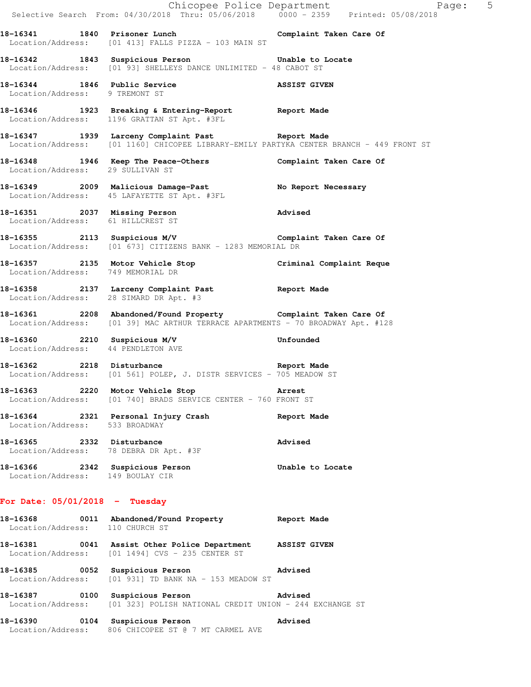|                                   | Selective Search From: 04/30/2018 Thru: 05/06/2018 0000 - 2359 Printed: 05/08/2018                                                                | Chicopee Police Department Fage: 5 |
|-----------------------------------|---------------------------------------------------------------------------------------------------------------------------------------------------|------------------------------------|
|                                   | 18-16341 1840 Prisoner Lunch 18-16341 Complaint Taken Care Of<br>Location/Address: [01 413] FALLS PIZZA - 103 MAIN ST                             |                                    |
|                                   | 18-16342 1843 Suspicious Person Consumer Unable to Locate<br>Location/Address: [01 93] SHELLEYS DANCE UNLIMITED - 48 CABOT ST                     |                                    |
| Location/Address: 9 TREMONT ST    | 18-16344 1846 Public Service ASSIST GIVEN                                                                                                         |                                    |
|                                   | 18-16346 1923 Breaking & Entering-Report Report Made<br>Location/Address: 1196 GRATTAN ST Apt. #3FL                                               |                                    |
|                                   | 18-16347 1939 Larceny Complaint Past Report Made<br>Location/Address: [01 1160] CHICOPEE LIBRARY-EMILY PARTYKA CENTER BRANCH - 449 FRONT ST       |                                    |
| Location/Address: 29 SULLIVAN ST  | 18-16348 1946 Keep The Peace-Others Complaint Taken Care Of                                                                                       |                                    |
|                                   | 18-16349 2009 Malicious Damage-Past No Report Necessary<br>Location/Address: 45 LAFAYETTE ST Apt. #3FL                                            |                                    |
| Location/Address: 61 HILLCREST ST | 18-16351 2037 Missing Person 2008 Advised                                                                                                         |                                    |
|                                   | 18-16355 2113 Suspicious M/V Complaint Taken Care Of<br>Location/Address: [01 673] CITIZENS BANK - 1283 MEMORIAL DR                               |                                    |
| Location/Address: 749 MEMORIAL DR | 18-16357 2135 Motor Vehicle Stop Criminal Complaint Reque                                                                                         |                                    |
|                                   | 18-16358 2137 Larceny Complaint Past Report Made<br>Location/Address: 28 SIMARD DR Apt. #3                                                        |                                    |
|                                   | 18-16361 2208 Abandoned/Found Property Complaint Taken Care Of<br>Location/Address: [01 39] MAC ARTHUR TERRACE APARTMENTS - 70 BROADWAY Apt. #128 |                                    |
|                                   | 18-16360 2210 Suspicious M/V<br>Location/Address: 44 PENDLETON AVE                                                                                | Unfounded                          |
|                                   | 18-16362 2218 Disturbance<br>Location/Address: [01 561] POLEP, J. DISTR SERVICES - 705 MEADOW ST                                                  |                                    |
|                                   | 18-16363 2220 Motor Vehicle Stop 31 Arrest<br>Location/Address: [01 740] BRADS SERVICE CENTER - 760 FRONT ST                                      |                                    |
| Location/Address: 533 BROADWAY    | 18-16364 2321 Personal Injury Crash                                                                                                               | Report Made                        |
| 18-16365 2332 Disturbance         | Location/Address: 78 DEBRA DR Apt. #3F                                                                                                            | <b>Advised</b>                     |
| Location/Address: 149 BOULAY CIR  | 18-16366 2342 Suspicious Person                                                                                                                   | Unable to Locate                   |
| For Date: $05/01/2018$ - Tuesday  |                                                                                                                                                   |                                    |
| Location/Address: 110 CHURCH ST   | 18-16368 0011 Abandoned/Found Property Report Made                                                                                                |                                    |
|                                   | 18-16381 0041 Assist Other Police Department ASSIST GIVEN<br>Location/Address: [01 1494] CVS - 235 CENTER ST                                      |                                    |
|                                   | 18-16385 0052 Suspicious Person<br>Location/Address: [01 931] TD BANK NA - 153 MEADOW ST                                                          | Advised                            |
| 18-16387                          | 0100 Suspicious Person<br>Advised<br>Location/Address: [01 323] POLISH NATIONAL CREDIT UNION - 244 EXCHANGE ST                                    |                                    |
|                                   | 0104 Suspicious Person                                                                                                                            | Advised                            |

Location/Address: 806 CHICOPEE ST @ 7 MT CARMEL AVE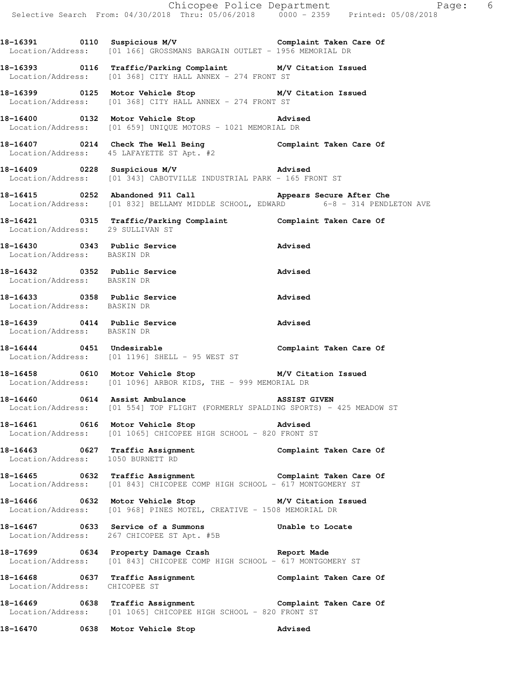**18-16391 0110 Suspicious M/V Complaint Taken Care Of**  Location/Address: [01 166] GROSSMANS BARGAIN OUTLET - 1956 MEMORIAL DR

**18-16393 0116 Traffic/Parking Complaint M/V Citation Issued**  Location/Address: [01 368] CITY HALL ANNEX - 274 FRONT ST

**18-16399 0125 Motor Vehicle Stop M/V Citation Issued**  Location/Address: [01 368] CITY HALL ANNEX - 274 FRONT ST

**18-16400 0132 Motor Vehicle Stop Advised**  Location/Address: [01 659] UNIQUE MOTORS - 1021 MEMORIAL DR

**18-16407 0214 Check The Well Being Complaint Taken Care Of**  Location/Address: 45 LAFAYETTE ST Apt. #2

**18-16409 0228 Suspicious M/V Advised**  Location/Address: [01 343] CABOTVILLE INDUSTRIAL PARK - 165 FRONT ST

**18-16415 0252 Abandoned 911 Call Appears Secure After Che**  Location/Address: [01 832] BELLAMY MIDDLE SCHOOL, EDWARD 6-8 - 314 PENDLETON AVE

**18-16421 0315 Traffic/Parking Complaint Complaint Taken Care Of**  Location/Address: 29 SULLIVAN ST

**18-16430 0343 Public Service Advised**  Location/Address: BASKIN DR

**18-16432 0352 Public Service Advised**  Location/Address: BASKIN DR

**18-16433 0358 Public Service Advised**  Location/Address: BASKIN DR

**18-16439 0414 Public Service Advised**  Location/Address: BASKIN DR

**18-16444 0451 Undesirable Complaint Taken Care Of**  Location/Address: [01 1196] SHELL - 95 WEST ST

**18-16458 0610 Motor Vehicle Stop M/V Citation Issued**  Location/Address: [01 1096] ARBOR KIDS, THE - 999 MEMORIAL DR

**18-16460 0614 Assist Ambulance ASSIST GIVEN**  Location/Address: [01 554] TOP FLIGHT (FORMERLY SPALDING SPORTS) - 425 MEADOW ST

**18-16461 0616 Motor Vehicle Stop Advised**  Location/Address: [01 1065] CHICOPEE HIGH SCHOOL - 820 FRONT ST

**18-16463 0627 Traffic Assignment Complaint Taken Care Of**  Location/Address: 1050 BURNETT RD

**18-16465 0632 Traffic Assignment Complaint Taken Care Of**  Location/Address: [01 843] CHICOPEE COMP HIGH SCHOOL - 617 MONTGOMERY ST

**18-16466 0632 Motor Vehicle Stop M/V Citation Issued**  Location/Address: [01 968] PINES MOTEL, CREATIVE - 1508 MEMORIAL DR

**18-16467 0633 Service of a Summons Unable to Locate**  Location/Address: 267 CHICOPEE ST Apt. #5B

**18-17699 0634 Property Damage Crash Report Made**  Location/Address: [01 843] CHICOPEE COMP HIGH SCHOOL - 617 MONTGOMERY ST

18-16468 **18-16468** 0637 Traffic Assignment **Complaint Taken Care Of** Location/Address: CHICOPEE ST

**18-16469 0638 Traffic Assignment Complaint Taken Care Of**  Location/Address: [01 1065] CHICOPEE HIGH SCHOOL - 820 FRONT ST

**18-16470 0638 Motor Vehicle Stop Advised**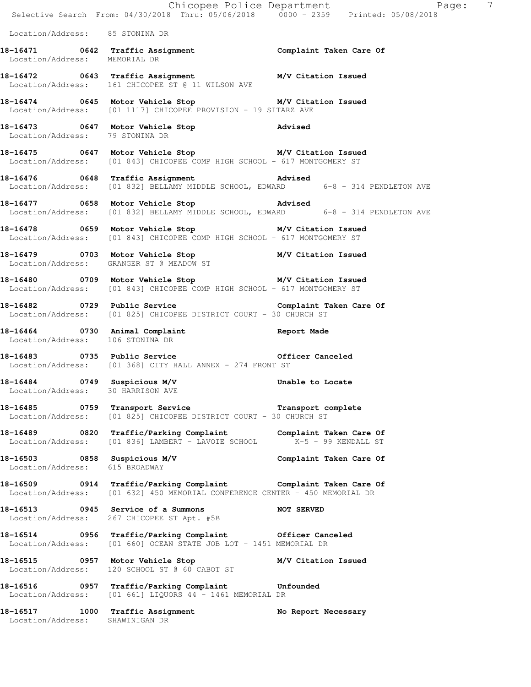|                                                                   |                                                                                                                                                | Chicopee Police Department<br>Selective Search From: 04/30/2018 Thru: 05/06/2018 0000 - 2359 Printed: 05/08/2018<br>$\overline{7}$ |
|-------------------------------------------------------------------|------------------------------------------------------------------------------------------------------------------------------------------------|------------------------------------------------------------------------------------------------------------------------------------|
| Location/Address: 85 STONINA DR                                   |                                                                                                                                                |                                                                                                                                    |
| Location/Address: MEMORIAL DR                                     | 18-16471    0642 Traffic Assignment    Complaint Taken Care Of                                                                                 |                                                                                                                                    |
|                                                                   | 18-16472 0643 Traffic Assignment M/V Citation Issued<br>Location/Address: 161 CHICOPEE ST @ 11 WILSON AVE                                      |                                                                                                                                    |
|                                                                   | 18-16474 0645 Motor Vehicle Stop M/V Citation Issued<br>Location/Address: [01 1117] CHICOPEE PROVISION - 19 SITARZ AVE                         |                                                                                                                                    |
| Location/Address: 79 STONINA DR                                   | 18-16473 0647 Motor Vehicle Stop 318-16473                                                                                                     |                                                                                                                                    |
|                                                                   | 18-16475 0647 Motor Vehicle Stop M/V Citation Issued<br>Location/Address: [01 843] CHICOPEE COMP HIGH SCHOOL - 617 MONTGOMERY ST               |                                                                                                                                    |
|                                                                   | 18-16476   0648   Traffic Assignment   Advised<br>Location/Address: [01 832] BELLAMY MIDDLE SCHOOL, EDWARD   6-8 - 314 PENDLETON AVE           |                                                                                                                                    |
|                                                                   | 18-16477 0658 Motor Vehicle Stop 30 Advised<br>Location/Address: [01 832] BELLAMY MIDDLE SCHOOL, EDWARD 6-8 - 314 PENDLETON AVE                |                                                                                                                                    |
|                                                                   | 18-16478 0659 Motor Vehicle Stop M/V Citation Issued<br>Location/Address: [01 843] CHICOPEE COMP HIGH SCHOOL - 617 MONTGOMERY ST               |                                                                                                                                    |
|                                                                   | 18-16479 0703 Motor Vehicle Stop M/V Citation Issued<br>Location/Address: GRANGER ST @ MEADOW ST                                               |                                                                                                                                    |
|                                                                   | 18-16480 0709 Motor Vehicle Stop M/V Citation Issued<br>Location/Address: [01 843] CHICOPEE COMP HIGH SCHOOL - 617 MONTGOMERY ST               |                                                                                                                                    |
|                                                                   | 18-16482    0729    Public Service    Complaint Taken Care Of<br>Location/Address: [01 825] CHICOPEE DISTRICT COURT - 30 CHURCH ST             |                                                                                                                                    |
| Location/Address: 106 STONINA DR                                  | 18-16464 0730 Animal Complaint Complaint Report Made                                                                                           |                                                                                                                                    |
|                                                                   | 18-16483 0735 Public Service 0fficer Canceled<br>Location/Address: [01 368] CITY HALL ANNEX - 274 FRONT ST                                     |                                                                                                                                    |
| 18-16484 0749 Suspicious M/V<br>Location/Address: 30 HARRISON AVE |                                                                                                                                                | Unable to Locate                                                                                                                   |
|                                                                   | 18-16485 0759 Transport Service <b>Transport Complete</b><br>Location/Address: [01 825] CHICOPEE DISTRICT COURT - 30 CHURCH ST                 |                                                                                                                                    |
|                                                                   | 18-16489 0820 Traffic/Parking Complaint Complaint Taken Care Of<br>Location/Address: [01 836] LAMBERT - LAVOIE SCHOOL K-5 - 99 KENDALL ST      |                                                                                                                                    |
| 18-16503 0858 Suspicious M/V<br>Location/Address: 615 BROADWAY    |                                                                                                                                                | Complaint Taken Care Of                                                                                                            |
|                                                                   | 18-16509 0914 Traffic/Parking Complaint Complaint Taken Care Of<br>Location/Address: [01 632] 450 MEMORIAL CONFERENCE CENTER - 450 MEMORIAL DR |                                                                                                                                    |
|                                                                   | 18-16513 0945 Service of a Summons NOT SERVED<br>Location/Address: 267 CHICOPEE ST Apt. #5B                                                    |                                                                                                                                    |
|                                                                   | 18-16514 0956 Traffic/Parking Complaint Officer Canceled<br>Location/Address: [01 660] OCEAN STATE JOB LOT - 1451 MEMORIAL DR                  |                                                                                                                                    |
|                                                                   | 18-16515 0957 Motor Vehicle Stop M/V Citation Issued<br>Location/Address: 120 SCHOOL ST @ 60 CABOT ST                                          |                                                                                                                                    |
|                                                                   | 18-16516   0957 Traffic/Parking Complaint   Unfounded<br>Location/Address: [01 661] LIQUORS 44 - 1461 MEMORIAL DR                              |                                                                                                                                    |
| Location/Address: SHAWINIGAN DR                                   | 18-16517 1000 Traffic Assignment                                                                                                               | No Report Necessary                                                                                                                |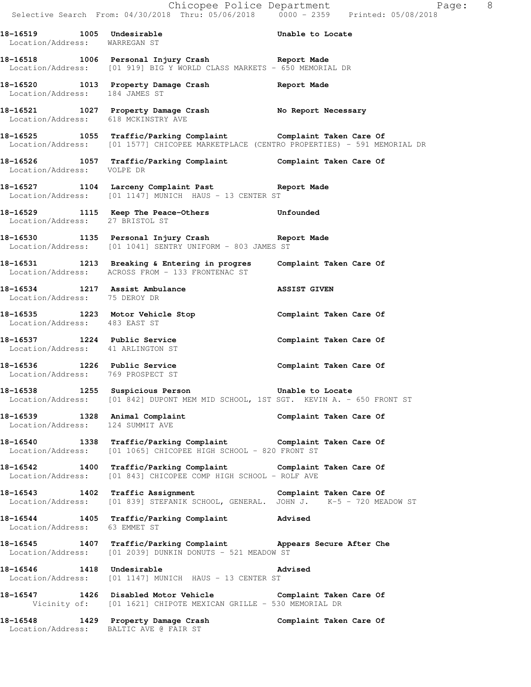|                                                                   | E Chicopee Police Department<br>Selective Search From: 04/30/2018 Thru: 05/06/2018 0000 - 2359 Printed: 05/08/2018                                        | Page: 8                 |
|-------------------------------------------------------------------|-----------------------------------------------------------------------------------------------------------------------------------------------------------|-------------------------|
| Location/Address: WARREGAN ST                                     | 18-16519 1005 Undesirable 100 Unable to Locate                                                                                                            |                         |
|                                                                   | 18-16518 1006 Personal Injury Crash 18-16518<br>Location/Address: [01 919] BIG Y WORLD CLASS MARKETS - 650 MEMORIAL DR                                    |                         |
|                                                                   | 18-16520 1013 Property Damage Crash Report Made Location/Address: 184 JAMES ST                                                                            |                         |
|                                                                   | 18-16521 1027 Property Damage Crash No Report Necessary<br>Location/Address: 618 MCKINSTRY AVE                                                            |                         |
|                                                                   | 18-16525 1055 Traffic/Parking Complaint Complaint Taken Care Of<br>Location/Address: [01 1577] CHICOPEE MARKETPLACE (CENTRO PROPERTIES) - 591 MEMORIAL DR |                         |
| Location/Address: VOLPE DR                                        | 18-16526 1057 Traffic/Parking Complaint Complaint Taken Care Of                                                                                           |                         |
|                                                                   | 18-16527 1104 Larceny Complaint Past Report Made<br>Location/Address: [01 1147] MUNICH HAUS - 13 CENTER ST                                                |                         |
| Location/Address: 27 BRISTOL ST                                   | 18-16529 1115 Keep The Peace-Others 18-16529                                                                                                              |                         |
|                                                                   | 18-16530 1135 Personal Injury Crash 18-16530<br>Location/Address: [01 1041] SENTRY UNIFORM - 803 JAMES ST                                                 |                         |
|                                                                   | 18-16531 1213 Breaking & Entering in progres Complaint Taken Care Of<br>Location/Address: ACROSS FROM - 133 FRONTENAC ST                                  |                         |
| Location/Address: 75 DEROY DR                                     | 18-16534 1217 Assist Ambulance                                                                                                                            | <b>ASSIST GIVEN</b>     |
| Location/Address: 483 EAST ST                                     | 18-16535 1223 Motor Vehicle Stop                                                                                                                          | Complaint Taken Care Of |
| 18-16537 1224 Public Service<br>Location/Address: 41 ARLINGTON ST |                                                                                                                                                           | Complaint Taken Care Of |
| 18-16536 1226 Public Service<br>Location/Address: 769 PROSPECT ST |                                                                                                                                                           | Complaint Taken Care Of |
|                                                                   | 18-16538 1255 Suspicious Person 18-16538 Unable to Locate<br>Location/Address: [01 842] DUPONT MEM MID SCHOOL, 1ST SGT. KEVIN A. - 650 FRONT ST           |                         |
| Location/Address: 124 SUMMIT AVE                                  | 18-16539 1328 Animal Complaint 18-16539 18-16539 1328 Animal Complaint Complaint Taken Care Of                                                            |                         |
|                                                                   | 18-16540 1338 Traffic/Parking Complaint Complaint Taken Care Of<br>Location/Address: [01 1065] CHICOPEE HIGH SCHOOL - 820 FRONT ST                        |                         |
|                                                                   | 18-16542 1400 Traffic/Parking Complaint Complaint Taken Care Of<br>Location/Address: [01 843] CHICOPEE COMP HIGH SCHOOL - ROLF AVE                        |                         |
|                                                                   | 18-16543 1402 Traffic Assignment Complaint Taken Care Of Constion/Address: [01 839] STEFANIK SCHOOL, GENERAL. JOHN J. K-5 - 720 MEADOW ST                 |                         |
| Location/Address: 63 EMMET ST                                     | 18-16544 1405 Traffic/Parking Complaint Advised                                                                                                           |                         |
|                                                                   | 18-16545 1407 Traffic/Parking Complaint Appears Secure After Che<br>Location/Address: [01 2039] DUNKIN DONUTS - 521 MEADOW ST                             |                         |
|                                                                   | 18-16546 1418 Undesirable<br>Location/Address: [01 1147] MUNICH HAUS - 13 CENTER ST                                                                       | Advised                 |
|                                                                   | 18-16547 1426 Disabled Motor Vehicle Complaint Taken Care Of<br>Vicinity of: [01 1621] CHIPOTE MEXICAN GRILLE - 530 MEMORIAL DR                           |                         |
|                                                                   | 18-16548 1429 Property Damage Crash Complaint Taken Care Of<br>Location/Address: BALTIC AVE @ FAIR ST                                                     |                         |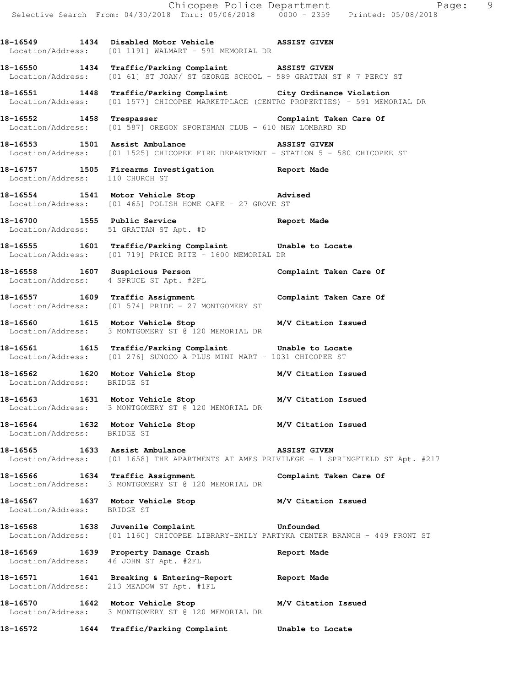**18-16549 1434 Disabled Motor Vehicle ASSIST GIVEN**  Location/Address: [01 1191] WALMART - 591 MEMORIAL DR

**18-16550 1434 Traffic/Parking Complaint ASSIST GIVEN**  Location/Address: [01 61] ST JOAN/ ST GEORGE SCHOOL - 589 GRATTAN ST @ 7 PERCY ST

**18-16551 1448 Traffic/Parking Complaint City Ordinance Violation**  Location/Address: [01 1577] CHICOPEE MARKETPLACE (CENTRO PROPERTIES) - 591 MEMORIAL DR

**18-16552 1458 Trespasser Complaint Taken Care Of**  Location/Address: [01 587] OREGON SPORTSMAN CLUB - 610 NEW LOMBARD RD

**18-16553 1501 Assist Ambulance ASSIST GIVEN**  Location/Address: [01 1525] CHICOPEE FIRE DEPARTMENT - STATION 5 - 580 CHICOPEE ST

**18-16757 1505 Firearms Investigation Report Made**  Location/Address: 110 CHURCH ST

**18-16554 1541 Motor Vehicle Stop Advised**  Location/Address: [01 465] POLISH HOME CAFE - 27 GROVE ST

**18-16700 1555 Public Service Report Made**  Location/Address: 51 GRATTAN ST Apt. #D

**18-16555 1601 Traffic/Parking Complaint Unable to Locate**  Location/Address: [01 719] PRICE RITE - 1600 MEMORIAL DR

**18-16558 1607 Suspicious Person Complaint Taken Care Of**  Location/Address: 4 SPRUCE ST Apt. #2FL

**18-16557 1609 Traffic Assignment Complaint Taken Care Of**  Location/Address: [01 574] PRIDE - 27 MONTGOMERY ST

**18-16560 1615 Motor Vehicle Stop M/V Citation Issued**  Location/Address: 3 MONTGOMERY ST @ 120 MEMORIAL DR

**18-16561 1615 Traffic/Parking Complaint Unable to Locate**  Location/Address: [01 276] SUNOCO A PLUS MINI MART - 1031 CHICOPEE ST

**18-16562 1620 Motor Vehicle Stop M/V Citation Issued**  Location/Address: BRIDGE ST

**18-16563 1631 Motor Vehicle Stop M/V Citation Issued**  Location/Address: 3 MONTGOMERY ST @ 120 MEMORIAL DR

**18-16564 1632 Motor Vehicle Stop M/V Citation Issued**  Location/Address: BRIDGE ST

**18-16565 1633 Assist Ambulance ASSIST GIVEN**  Location/Address: [01 1658] THE APARTMENTS AT AMES PRIVILEGE - 1 SPRINGFIELD ST Apt. #217

**18-16566 1634 Traffic Assignment Complaint Taken Care Of**  Location/Address: 3 MONTGOMERY ST @ 120 MEMORIAL DR

**18-16567 1637 Motor Vehicle Stop M/V Citation Issued**  Location/Address: BRIDGE ST

**18-16568 1638 Juvenile Complaint Unfounded**  Location/Address: [01 1160] CHICOPEE LIBRARY-EMILY PARTYKA CENTER BRANCH - 449 FRONT ST

**18-16569 1639 Property Damage Crash Report Made**  Location/Address: 46 JOHN ST Apt. #2FL

**18-16571 1641 Breaking & Entering-Report Report Made**  Location/Address: 213 MEADOW ST Apt. #1FL

**18-16570 1642 Motor Vehicle Stop M/V Citation Issued**  Location/Address: 3 MONTGOMERY ST @ 120 MEMORIAL DR

**18-16572 1644 Traffic/Parking Complaint Unable to Locate**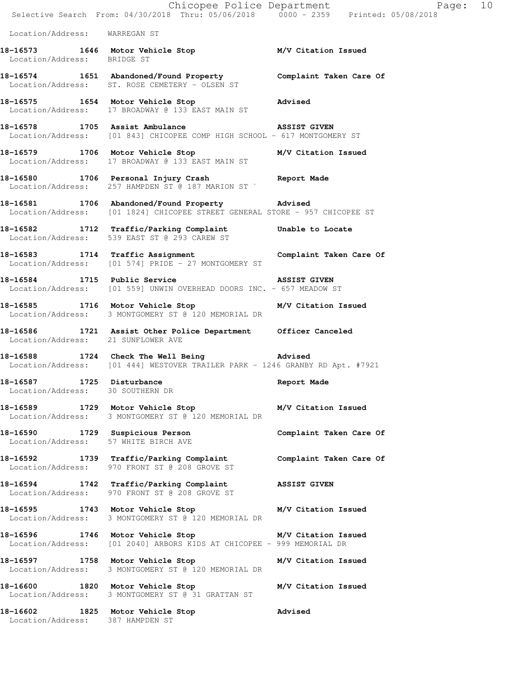|                                      | Chicopee Police Department<br>Selective Search From: 04/30/2018 Thru: 05/06/2018 0000 - 2359 Printed: 05/08/2018                     | Page: 10                |
|--------------------------------------|--------------------------------------------------------------------------------------------------------------------------------------|-------------------------|
| Location/Address: WARREGAN ST        |                                                                                                                                      |                         |
| Location/Address: BRIDGE ST          | 18-16573 1646 Motor Vehicle Stop M/V Citation Issued                                                                                 |                         |
|                                      | 18-16574 1651 Abandoned/Found Property Complaint Taken Care Of<br>Location/Address: ST. ROSE CEMETERY - OLSEN ST                     |                         |
|                                      | 18-16575 1654 Motor Vehicle Stop 30 Movised<br>Location/Address: 17 BROADWAY @ 133 EAST MAIN ST                                      |                         |
|                                      | 18-16578 1705 Assist Ambulance NSSIST GIVEN<br>Location/Address: [01 843] CHICOPEE COMP HIGH SCHOOL - 617 MONTGOMERY ST              |                         |
|                                      | 18-16579 1706 Motor Vehicle Stop M/V Citation Issued<br>Location/Address: 17 BROADWAY @ 133 EAST MAIN ST                             |                         |
|                                      | 18-16580 1706 Personal Injury Crash 18-16580<br>Location/Address: 257 HAMPDEN ST @ 187 MARION ST                                     |                         |
|                                      | 18-16581 1706 Abandoned/Found Property Advised<br>Location/Address: [01 1824] CHICOPEE STREET GENERAL STORE - 957 CHICOPEE ST        |                         |
|                                      | 18-16582 1712 Traffic/Parking Complaint Unable to Locate<br>Location/Address: 539 EAST ST @ 293 CAREW ST                             |                         |
|                                      | 18-16583 1714 Traffic Assignment Complaint Taken Care Of<br>Location/Address: [01 574] PRIDE - 27 MONTGOMERY ST                      |                         |
|                                      | <b>18-16584</b> 1715 Public Service <b>18-16584</b> 18-16584<br>Location/Address: [01 559] UNWIN OVERHEAD DOORS INC. - 657 MEADOW ST |                         |
|                                      | 18-16585 1716 Motor Vehicle Stop M/V Citation Issued<br>Location/Address: 3 MONTGOMERY ST @ 120 MEMORIAL DR                          |                         |
| Location/Address: 21 SUNFLOWER AVE   | 18-16586 1721 Assist Other Police Department Officer Canceled                                                                        |                         |
|                                      | 18-16588 1724 Check The Well Being 30 Advised<br>Location/Address: [01 444] WESTOVER TRAILER PARK - 1246 GRANBY RD Apt. #7921        |                         |
| Location/Address: 30 SOUTHERN DR     | 18-16587 1725 Disturbance Report Made                                                                                                |                         |
|                                      | 18-16589 1729 Motor Vehicle Stop M/V Citation Issued<br>Location/Address: 3 MONTGOMERY ST @ 120 MEMORIAL DR                          |                         |
| Location/Address: 57 WHITE BIRCH AVE | 18-16590 1729 Suspicious Person                                                                                                      | Complaint Taken Care Of |
|                                      | 18-16592 1739 Traffic/Parking Complaint Complaint Taken Care Of<br>Location/Address: 970 FRONT ST @ 208 GROVE ST                     |                         |
|                                      | 18-16594 1742 Traffic/Parking Complaint ASSIST GIVEN<br>Location/Address: 970 FRONT ST @ 208 GROVE ST                                |                         |
|                                      | 18-16595 1743 Motor Vehicle Stop M/V Citation Issued<br>Location/Address: 3 MONTGOMERY ST @ 120 MEMORIAL DR                          |                         |
|                                      | 18-16596 1746 Motor Vehicle Stop M/V Citation Issued<br>Location/Address: [01 2040] ARBORS KIDS AT CHICOPEE - 999 MEMORIAL DR        |                         |
|                                      | 18-16597 1758 Motor Vehicle Stop M/V Citation Issued<br>Location/Address: 3 MONTGOMERY ST @ 120 MEMORIAL DR                          |                         |
|                                      | 18-16600 1820 Motor Vehicle Stop M/V Citation Issued<br>Location/Address: 3 MONTGOMERY ST @ 31 GRATTAN ST                            |                         |
| Location/Address: 387 HAMPDEN ST     | 18-16602 1825 Motor Vehicle Stop                                                                                                     | Advised                 |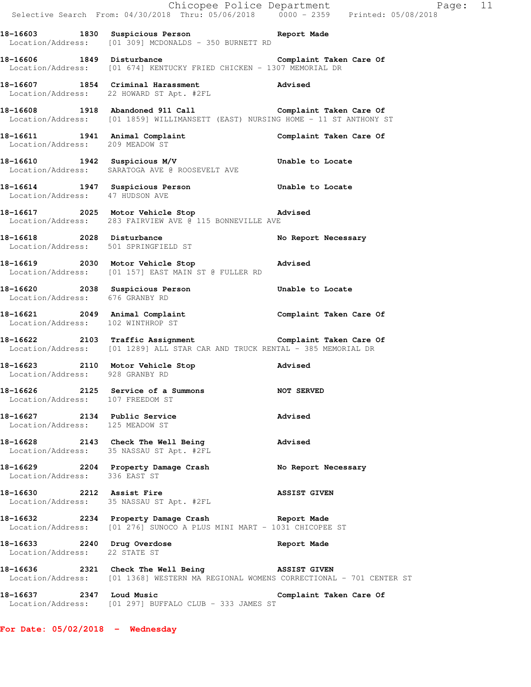|                                                                 |                                                                                                                                         | Chicopee Police Department<br>Selective Search From: 04/30/2018 Thru: 05/06/2018 0000 - 2359 Printed: 05/08/2018 |
|-----------------------------------------------------------------|-----------------------------------------------------------------------------------------------------------------------------------------|------------------------------------------------------------------------------------------------------------------|
|                                                                 | 18-16603 1830 Suspicious Person<br>Location/Address: [01 309] MCDONALDS - 350 BURNETT RD                                                |                                                                                                                  |
|                                                                 | 18-16606 1849 Disturbance Complaint Taken Care Of<br>Location/Address: [01 674] KENTUCKY FRIED CHICKEN - 1307 MEMORIAL DR               |                                                                                                                  |
|                                                                 | 18-16607 1854 Criminal Harassment and Advised<br>Location/Address: 22 HOWARD ST Apt. #2FL                                               |                                                                                                                  |
|                                                                 | 18-16608 1918 Abandoned 911 Call Castion/Address: [01 1859] WILLIMANSETT (EAST) NURSING HOME - 11 ST ANTHONY ST                         |                                                                                                                  |
|                                                                 | 18-16611   1941   Animal Complaint   18-16611   Complaint Taken Care Of Location/Address: 209 MEADOW ST                                 |                                                                                                                  |
|                                                                 | 18-16610 1942 Suspicious M/V 18-16610 Unable to Locate<br>Location/Address: SARATOGA AVE @ ROOSEVELT AVE                                |                                                                                                                  |
| Location/Address: 47 HUDSON AVE                                 | 18-16614 1947 Suspicious Person Unable to Locate                                                                                        |                                                                                                                  |
|                                                                 | 18-16617 2025 Motor Vehicle Stop 30 Advised<br>Location/Address: 283 FAIRVIEW AVE @ 115 BONNEVILLE AVE                                  |                                                                                                                  |
|                                                                 | and Disturbance Mo Report Necessary<br>Location/Address: 501 SPRINGFIELD ST                                                             |                                                                                                                  |
|                                                                 | 18-16619 2030 Motor Vehicle Stop 30 Advised<br>Location/Address: [01 157] EAST MAIN ST @ FULLER RD                                      |                                                                                                                  |
| Location/Address: 676 GRANBY RD                                 | 18-16620 2038 Suspicious Person <b>18-16620</b> Unable to Locate                                                                        |                                                                                                                  |
| Location/Address: 102 WINTHROP ST                               | 18-16621 2049 Animal Complaint Complaint Taken Care Of                                                                                  |                                                                                                                  |
|                                                                 | 18-16622 2103 Traffic Assignment Complaint Taken Care Of<br>Location/Address: [01 1289] ALL STAR CAR AND TRUCK RENTAL - 385 MEMORIAL DR |                                                                                                                  |
|                                                                 | 18-16623 2110 Motor Vehicle Stop Movised<br>Location/Address: 928 GRANBY RD                                                             |                                                                                                                  |
| Location/Address: 107 FREEDOM ST                                | 18-16626 2125 Service of a Summons                                                                                                      | <b>NOT SERVED</b>                                                                                                |
| 18-16627 2134 Public Service<br>Location/Address: 125 MEADOW ST |                                                                                                                                         | Advised                                                                                                          |
|                                                                 | 18-16628 2143 Check The Well Being<br>Location/Address: 35 NASSAU ST Apt. #2FL                                                          | Advised                                                                                                          |
| Location/Address: 336 EAST ST                                   | 18-16629 2204 Property Damage Crash No Report Necessary                                                                                 |                                                                                                                  |
|                                                                 | 18-16630 2212 Assist Fire<br>Location/Address: 35 NASSAU ST Apt. #2FL                                                                   | <b>ASSIST GIVEN</b>                                                                                              |
|                                                                 | 18-16632 2234 Property Damage Crash Report Made<br>Location/Address: [01 276] SUNOCO A PLUS MINI MART - 1031 CHICOPEE ST                |                                                                                                                  |
| Location/Address: 22 STATE ST                                   | 18-16633 2240 Drug Overdose                                                                                                             | Report Made                                                                                                      |
|                                                                 | 18-16636 2321 Check The Well Being 38SIST GIVEN<br>Location/Address: [01 1368] WESTERN MA REGIONAL WOMENS CORRECTIONAL - 701 CENTER ST  |                                                                                                                  |
| 18-16637 2347 Loud Music                                        | Location/Address: [01 297] BUFFALO CLUB - 333 JAMES ST                                                                                  | Complaint Taken Care Of                                                                                          |

**For Date: 05/02/2018 - Wednesday**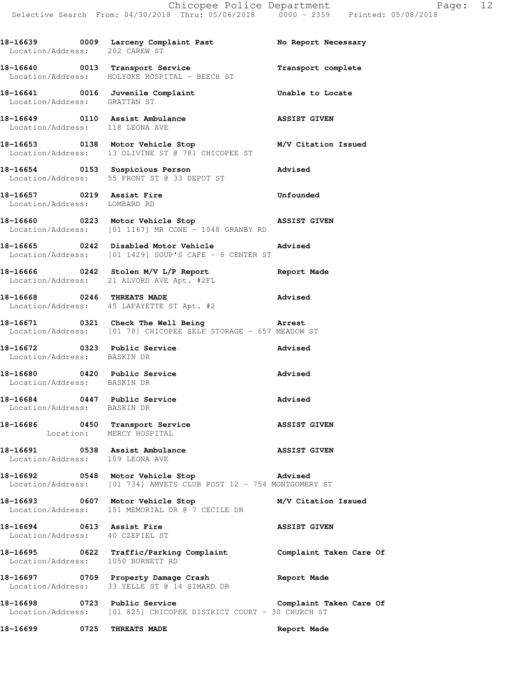18-16639 **0009** Larceny Complaint Past No Report Necessary

**18-16640 0013 Transport Service Transport complete** 

Location/Address: 202 CAREW ST

Location/Address: HOLYOKE HOSPITAL - BEECH ST **18-16641 0016 Juvenile Complaint Unable to Locate**  Location/Address: GRATTAN ST **18-16649 0110 Assist Ambulance ASSIST GIVEN**  Location/Address: 118 LEONA AVE **18-16653 0138 Motor Vehicle Stop M/V Citation Issued**  Location/Address: 13 OLIVINE ST @ 781 CHICOPEE ST **18-16654 0153 Suspicious Person Advised**  Location/Address: 55 FRONT ST @ 33 DEPOT ST **18-16657** 0219 Assist Fire **18-16657** Unfounded Location/Address: LOMBARD RD **18-16660 0223 Motor Vehicle Stop ASSIST GIVEN**  Location/Address: [01 1167] MR CONE - 1048 GRANBY RD **18-16665 0242 Disabled Motor Vehicle Advised**  Location/Address: [01 1429] SOUP'S CAFE - 8 CENTER ST **18-16666 0242 Stolen M/V L/P Report Report Made**  Location/Address: 21 ALVORD AVE Apt. #2FL **18-16668 0246 THREATS MADE Advised**  Location/Address: 45 LAFAYETTE ST Apt. #2 **18-16671 0321 Check The Well Being Arrest**  Location/Address: [01 78] CHICOPEE SELF STORAGE - 657 MEADOW ST **18-16672 0323 Public Service Advised**  Location/Address: BASKIN DR **18-16680 0420 Public Service Advised**  Location/Address: BASKIN DR **18-16684 0447 Public Service Advised**  Location/Address: BASKIN DR **18-16686 0450 Transport Service ASSIST GIVEN**  Location: MERCY HOSPITAL **18-16691 0538 Assist Ambulance ASSIST GIVEN**  Location/Address: 109 LEONA AVE **18-16692 0548 Motor Vehicle Stop Advised**  Location/Address: [01 734] AMVETS CLUB POST 12 - 754 MONTGOMERY ST **18-16693 0607 Motor Vehicle Stop M/V Citation Issued**  Location/Address: 151 MEMORIAL DR @ 7 CECILE DR **18-16694** 0613 Assist Fire **ASSIST GIVEN**  Location/Address: 40 CZEPIEL ST **18-16695 0622 Traffic/Parking Complaint Complaint Taken Care Of**  Location/Address: 1050 BURNETT RD **18-16697 0709 Property Damage Crash Report Made**  Location/Address: 33 YELLE ST @ 14 SIMARD DR **18-16698 0723 Public Service Complaint Taken Care Of**  Location/Address: [01 825] CHICOPEE DISTRICT COURT - 30 CHURCH ST **18-16699 0725 THREATS MADE Report Made**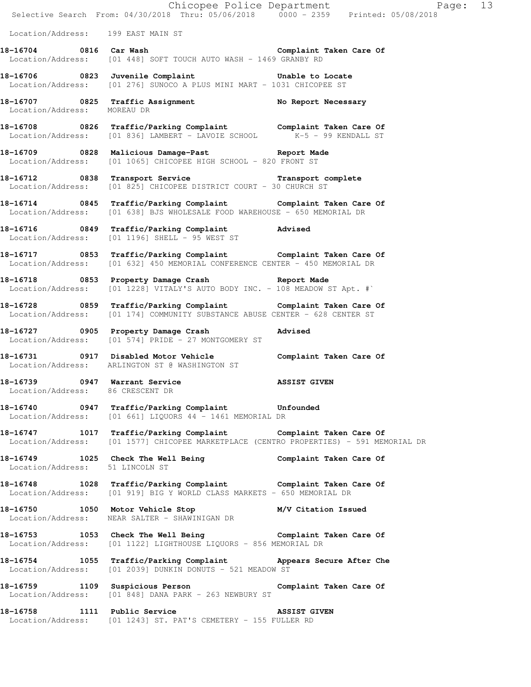|                                                                   |                                                                                                                                                           | Page: 13<br>E Chicopee Police Department<br>Selective Search From: 04/30/2018 Thru: 05/06/2018 0000 - 2359 Printed: 05/08/2018 |  |
|-------------------------------------------------------------------|-----------------------------------------------------------------------------------------------------------------------------------------------------------|--------------------------------------------------------------------------------------------------------------------------------|--|
| Location/Address: 199 EAST MAIN ST                                |                                                                                                                                                           |                                                                                                                                |  |
|                                                                   | 18-16704 0816 Car Wash Complaint Taken Care Of                                                                                                            |                                                                                                                                |  |
|                                                                   | Location/Address: [01 448] SOFT TOUCH AUTO WASH - 1469 GRANBY RD                                                                                          |                                                                                                                                |  |
|                                                                   | 18-16706 0823 Juvenile Complaint 18-16706 to Locate<br>Location/Address: [01 276] SUNOCO A PLUS MINI MART - 1031 CHICOPEE ST                              |                                                                                                                                |  |
| Location/Address: MOREAU DR                                       | 18-16707 0825 Traffic Assignment No Report Necessary                                                                                                      |                                                                                                                                |  |
|                                                                   | 18-16708 0826 Traffic/Parking Complaint Complaint Taken Care Of Location/Address: [01 836] LAMBERT - LAVOIE SCHOOL K-5 - 99 KENDALL ST                    |                                                                                                                                |  |
|                                                                   | 18-16709 0828 Malicious Damage-Past Neport Made<br>Location/Address: [01 1065] CHICOPEE HIGH SCHOOL - 820 FRONT ST                                        |                                                                                                                                |  |
|                                                                   | 18-16712 0838 Transport Service <b>18-16712</b> Transport complete<br>Location/Address: [01 825] CHICOPEE DISTRICT COURT - 30 CHURCH ST                   |                                                                                                                                |  |
|                                                                   | 18-16714 0845 Traffic/Parking Complaint Complaint Taken Care Of<br>Location/Address: [01 638] BJS WHOLESALE FOOD WAREHOUSE - 650 MEMORIAL DR              |                                                                                                                                |  |
|                                                                   | 18-16716 0849 Traffic/Parking Complaint Advised<br>Location/Address: [01 1196] SHELL - 95 WEST ST                                                         |                                                                                                                                |  |
|                                                                   | 18-16717 1853 Traffic/Parking Complaint 16 Complaint Taken Care Of<br>Location/Address: [01 632] 450 MEMORIAL CONFERENCE CENTER - 450 MEMORIAL DR         |                                                                                                                                |  |
| Location/Address:                                                 | 18-16718 0853 Property Damage Crash Report Made<br>[01 1228] VITALY'S AUTO BODY INC. - 108 MEADOW ST Apt. #`                                              |                                                                                                                                |  |
|                                                                   | 18-16728 0859 Traffic/Parking Complaint Complaint Taken Care Of<br>Location/Address: [01 174] COMMUNITY SUBSTANCE ABUSE CENTER - 628 CENTER ST            |                                                                                                                                |  |
|                                                                   | 18-16727 0905 Property Damage Crash Movised<br>Location/Address: [01 574] PRIDE - 27 MONTGOMERY ST                                                        |                                                                                                                                |  |
|                                                                   | 18-16731 0917 Disabled Motor Vehicle Complaint Taken Care Of<br>Location/Address: ARLINGTON ST @ WASHINGTON ST                                            |                                                                                                                                |  |
| 18-16739 0947 Warrant Service<br>Location/Address: 86 CRESCENT DR |                                                                                                                                                           | <b>ASSIST GIVEN</b>                                                                                                            |  |
|                                                                   | 18-16740 0947 Traffic/Parking Complaint Unfounded<br>Location/Address: [01 661] LIQUORS 44 - 1461 MEMORIAL DR                                             |                                                                                                                                |  |
|                                                                   | 18-16747 1017 Traffic/Parking Complaint Complaint Taken Care Of<br>Location/Address: [01 1577] CHICOPEE MARKETPLACE (CENTRO PROPERTIES) - 591 MEMORIAL DR |                                                                                                                                |  |
| Location/Address: 51 LINCOLN ST                                   | 18-16749 1025 Check The Well Being Complaint Taken Care Of                                                                                                |                                                                                                                                |  |
|                                                                   | 18-16748 1028 Traffic/Parking Complaint Complaint Taken Care Of<br>Location/Address: [01 919] BIG Y WORLD CLASS MARKETS - 650 MEMORIAL DR                 |                                                                                                                                |  |
|                                                                   | 18-16750 1050 Motor Vehicle Stop M/V Citation Issued<br>Location/Address: NEAR SALTER - SHAWINIGAN DR                                                     |                                                                                                                                |  |
|                                                                   | 18-16753 1053 Check The Well Being Complaint Taken Care Of<br>Location/Address: [01 1122] LIGHTHOUSE LIQUORS - 856 MEMORIAL DR                            |                                                                                                                                |  |
|                                                                   | 18-16754 1055 Traffic/Parking Complaint Appears Secure After Che<br>Location/Address: [01 2039] DUNKIN DONUTS - 521 MEADOW ST                             |                                                                                                                                |  |
|                                                                   | 18-16759 1109 Suspicious Person Complaint Taken Care Of<br>Location/Address: [01 848] DANA PARK - 263 NEWBURY ST                                          |                                                                                                                                |  |
|                                                                   | 18-16758 1111 Public Service                                                                                                                              | <b>ASSIST GIVEN</b>                                                                                                            |  |

Location/Address: [01 1243] ST. PAT'S CEMETERY - 155 FULLER RD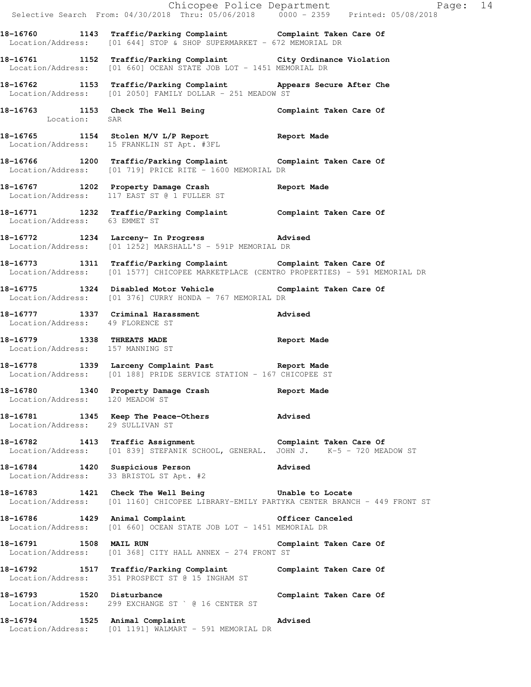|                                  |                                                                                                                                                           | Chicopee Police Department<br>Selective Search From: 04/30/2018 Thru: 05/06/2018 0000 - 2359 Printed: 05/08/2018 |  |
|----------------------------------|-----------------------------------------------------------------------------------------------------------------------------------------------------------|------------------------------------------------------------------------------------------------------------------|--|
|                                  |                                                                                                                                                           |                                                                                                                  |  |
|                                  | 18-16760 1143 Traffic/Parking Complaint Complaint Taken Care Of<br>Location/Address: $[01 644]$ STOP & SHOP SUPERMARKET - 672 MEMORIAL DR                 |                                                                                                                  |  |
|                                  | 18-16761 1152 Traffic/Parking Complaint City Ordinance Violation<br>Location/Address: [01 660] OCEAN STATE JOB LOT - 1451 MEMORIAL DR                     |                                                                                                                  |  |
|                                  | 18-16762 1153 Traffic/Parking Complaint Appears Secure After Che<br>Location/Address: [01 2050] FAMILY DOLLAR - 251 MEADOW ST                             |                                                                                                                  |  |
| Location: SAR                    | 18-16763 1153 Check The Well Being Complaint Taken Care Of                                                                                                |                                                                                                                  |  |
|                                  | 18-16765 1154 Stolen M/V L/P Report Name Report Made Location/Address: 15 FRANKLIN ST Apt. #3FL                                                           |                                                                                                                  |  |
|                                  | 18-16766 1200 Traffic/Parking Complaint Complaint Taken Care Of<br>Location/Address: [01 719] PRICE RITE - 1600 MEMORIAL DR                               |                                                                                                                  |  |
|                                  | 18-16767 1202 Property Damage Crash Report Made<br>Location/Address: 117 EAST ST @ 1 FULLER ST                                                            |                                                                                                                  |  |
| Location/Address: 63 EMMET ST    | 18-16771 1232 Traffic/Parking Complaint Complaint Taken Care Of                                                                                           |                                                                                                                  |  |
|                                  | 18-16772 1234 Larceny- In Progress 2011 Advised<br>Location/Address: [01 1252] MARSHALL'S - 591P MEMORIAL DR                                              |                                                                                                                  |  |
|                                  | 18-16773 1311 Traffic/Parking Complaint Complaint Taken Care Of<br>Location/Address: [01 1577] CHICOPEE MARKETPLACE (CENTRO PROPERTIES) - 591 MEMORIAL DR |                                                                                                                  |  |
|                                  | 18-16775 1324 Disabled Motor Vehicle Complaint Taken Care Of<br>Location/Address: [01 376] CURRY HONDA - 767 MEMORIAL DR                                  |                                                                                                                  |  |
| Location/Address: 49 FLORENCE ST | 18-16777 1337 Criminal Harassment Advised                                                                                                                 |                                                                                                                  |  |
| Location/Address: 157 MANNING ST | 18-16779 1338 THREATS MADE Report Made                                                                                                                    |                                                                                                                  |  |
|                                  | 18-16778 1339 Larceny Complaint Past Report Made<br>Location/Address: [01 188] PRIDE SERVICE STATION - 167 CHICOPEE ST                                    |                                                                                                                  |  |
| Location/Address: 120 MEADOW ST  | 18-16780 1340 Property Damage Crash Report Made                                                                                                           |                                                                                                                  |  |
| Location/Address: 29 SULLIVAN ST | 18-16781 1345 Keep The Peace-Others 20 Advised                                                                                                            |                                                                                                                  |  |
|                                  | 18-16782 1413 Traffic Assignment<br>Location/Address: [01 839] STEFANIK SCHOOL, GENERAL. JOHN J. K-5 - 720 MEADOW ST                                      | Complaint Taken Care Of                                                                                          |  |
|                                  | 18-16784 1420 Suspicious Person<br>Location/Address: 33 BRISTOL ST Apt. #2                                                                                | <b>Advised</b>                                                                                                   |  |
|                                  | 18-16783 1421 Check The Well Being 5 Unable to Locate<br>Location/Address: [01 1160] CHICOPEE LIBRARY-EMILY PARTYKA CENTER BRANCH - 449 FRONT ST          |                                                                                                                  |  |
|                                  | 18-16786 1429 Animal Complaint 15 Officer Canceled<br>Location/Address: [01 660] OCEAN STATE JOB LOT - 1451 MEMORIAL DR                                   |                                                                                                                  |  |
| 18-16791 1508 MAIL RUN           | Location/Address: [01 368] CITY HALL ANNEX - 274 FRONT ST                                                                                                 | Complaint Taken Care Of                                                                                          |  |
|                                  | 18-16792 1517 Traffic/Parking Complaint Complaint Taken Care Of<br>Location/Address: 351 PROSPECT ST @ 15 INGHAM ST                                       |                                                                                                                  |  |
| 18-16793 1520 Disturbance        | Location/Address: 299 EXCHANGE ST ` @ 16 CENTER ST                                                                                                        | Complaint Taken Care Of                                                                                          |  |
|                                  | 18-16794 1525 Animal Complaint<br>Location/Address: [01 1191] WALMART - 591 MEMORIAL DR                                                                   | Advised                                                                                                          |  |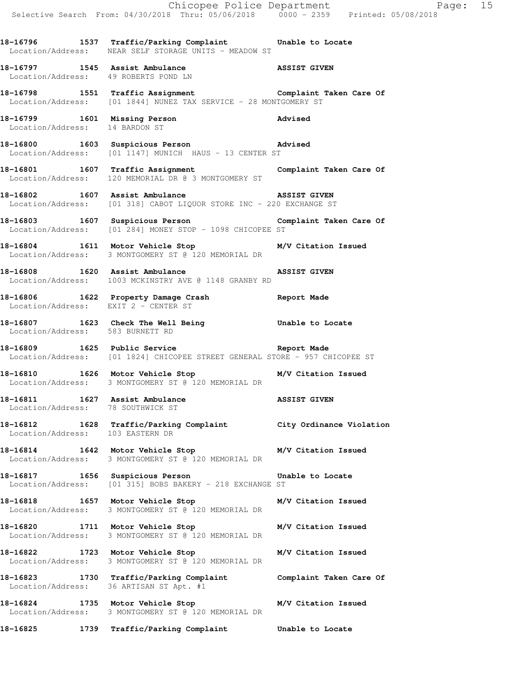|                                                                     |                                                                                                                                            | Chicopee Police Department<br>Selective Search From: 04/30/2018 Thru: 05/06/2018 0000 - 2359 Printed: 05/08/2018 |
|---------------------------------------------------------------------|--------------------------------------------------------------------------------------------------------------------------------------------|------------------------------------------------------------------------------------------------------------------|
|                                                                     | 18-16796 1537 Traffic/Parking Complaint Unable to Locate Location/Address: NEAR SELF STORAGE UNITS - MEADOW ST                             |                                                                                                                  |
| Location/Address: 49 ROBERTS POND LN                                | 18-16797 1545 Assist Ambulance ASSIST GIVEN                                                                                                |                                                                                                                  |
|                                                                     | 18-16798 1551 Traffic Assignment <b>18-168 Complaint Taken Care Of</b><br>Location/Address: [01 1844] NUNEZ TAX SERVICE - 28 MONTGOMERY ST |                                                                                                                  |
| Location/Address: 14 BARDON ST                                      | 18-16799 1601 Missing Person 18-16799 Madvised                                                                                             |                                                                                                                  |
|                                                                     | 18-16800 1603 Suspicious Person 18-16800 Advised<br>Location/Address: [01 1147] MUNICH HAUS - 13 CENTER ST                                 |                                                                                                                  |
|                                                                     | 18-16801 1607 Traffic Assignment 18-16801 Complaint Taken Care Of<br>Location/Address: 120 MEMORIAL DR @ 3 MONTGOMERY ST                   |                                                                                                                  |
|                                                                     | 18-16802 1607 Assist Ambulance 18-16802 ASSIST GIVEN<br>Location/Address: [01 318] CABOT LIQUOR STORE INC - 220 EXCHANGE ST                |                                                                                                                  |
|                                                                     | 18-16803 1607 Suspicious Person 18-1680 Complaint Taken Care Of<br>Location/Address: [01 284] MONEY STOP - 1098 CHICOPEE ST                |                                                                                                                  |
|                                                                     | 18-16804 1611 Motor Vehicle Stop M/V Citation Issued<br>Location/Address: 3 MONTGOMERY ST @ 120 MEMORIAL DR                                |                                                                                                                  |
|                                                                     | 18-16808 1620 Assist Ambulance ASSIST GIVEN Location/Address: 1003 MCKINSTRY AVE @ 1148 GRANBY RD                                          |                                                                                                                  |
| Location/Address: EXIT 2 - CENTER ST                                | 18-16806 1622 Property Damage Crash 18-16806 Report Made                                                                                   |                                                                                                                  |
| Location/Address: 583 BURNETT RD                                    | 18-16807 1623 Check The Well Being 18-16807                                                                                                |                                                                                                                  |
|                                                                     | 18-16809 1625 Public Service 20 20 20 20 21646<br>Location/Address: [01 1824] CHICOPEE STREET GENERAL STORE - 957 CHICOPEE ST              |                                                                                                                  |
|                                                                     | 18-16810 1626 Motor Vehicle Stop M/V Citation Issued<br>Location/Address: 3 MONTGOMERY ST @ 120 MEMORIAL DR                                |                                                                                                                  |
| 18-16811 1627 Assist Ambulance<br>Location/Address: 78 SOUTHWICK ST |                                                                                                                                            | <b>ASSIST GIVEN</b>                                                                                              |
| Location/Address: 103 EASTERN DR                                    | 18-16812 1628 Traffic/Parking Complaint City Ordinance Violation                                                                           |                                                                                                                  |
| 18-16814 1642 Motor Vehicle Stop                                    | Location/Address: 3 MONTGOMERY ST @ 120 MEMORIAL DR                                                                                        | M/V Citation Issued                                                                                              |
|                                                                     | 18-16817 1656 Suspicious Person 16 Unable to Locate<br>Location/Address: [01 315] BOBS BAKERY - 218 EXCHANGE ST                            |                                                                                                                  |
| 18-16818 1657 Motor Vehicle Stop                                    | Location/Address: 3 MONTGOMERY ST @ 120 MEMORIAL DR                                                                                        | M/V Citation Issued                                                                                              |
|                                                                     | 18-16820 1711 Motor Vehicle Stop<br>Location/Address: 3 MONTGOMERY ST @ 120 MEMORIAL DR                                                    | M/V Citation Issued                                                                                              |
|                                                                     | 18-16822 1723 Motor Vehicle Stop<br>Location/Address: 3 MONTGOMERY ST @ 120 MEMORIAL DR                                                    | M/V Citation Issued                                                                                              |
|                                                                     | 18-16823 1730 Traffic/Parking Complaint Complaint Taken Care Of<br>Location/Address: 36 ARTISAN ST Apt. #1                                 |                                                                                                                  |
|                                                                     | 18-16824 1735 Motor Vehicle Stop<br>Location/Address: 3 MONTGOMERY ST @ 120 MEMORIAL DR                                                    | M/V Citation Issued                                                                                              |

**18-16825 1739 Traffic/Parking Complaint Unable to Locate**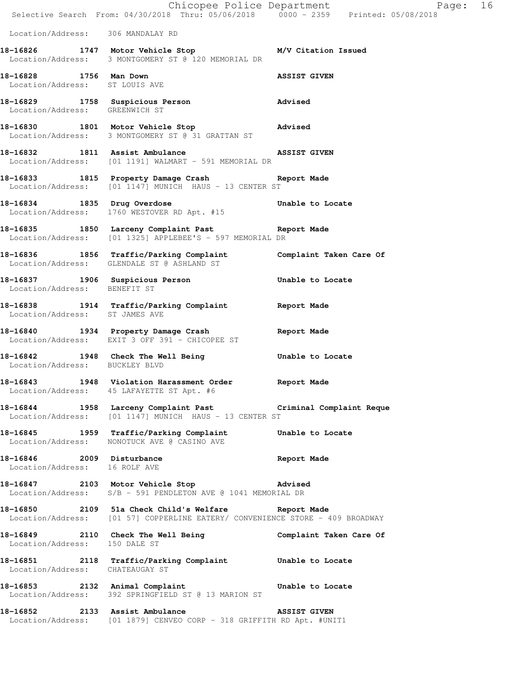|                                                            | Selective Search From: 04/30/2018 Thru: 05/06/2018     0000 - 2359     Printed: 05/08/2018                                           | Chicopee Police Department<br>Page: 16 |
|------------------------------------------------------------|--------------------------------------------------------------------------------------------------------------------------------------|----------------------------------------|
| Location/Address: 306 MANDALAY RD                          |                                                                                                                                      |                                        |
|                                                            | 18-16826 1747 Motor Vehicle Stop M/V Citation Issued<br>Location/Address: 3 MONTGOMERY ST @ 120 MEMORIAL DR                          |                                        |
| 18-16828 1756 Man Down<br>Location/Address: ST LOUIS AVE   |                                                                                                                                      | <b>ASSIST GIVEN</b>                    |
| Location/Address: GREENWICH ST                             | 18-16829 1758 Suspicious Person advised                                                                                              |                                        |
|                                                            | 18-16830 1801 Motor Vehicle Stop 30 Movised<br>Location/Address: 3 MONTGOMERY ST @ 31 GRATTAN ST                                     |                                        |
|                                                            | 18-16832 1811 Assist Ambulance<br>Location/Address: [01 1191] WALMART - 591 MEMORIAL DR                                              | <b>ASSIST GIVEN</b>                    |
|                                                            | 18-16833 1815 Property Damage Crash Report Made<br>Location/Address: [01 1147] MUNICH HAUS - 13 CENTER ST                            |                                        |
| 18-16834 1835 Drug Overdose                                | Location/Address: 1760 WESTOVER RD Apt. #15                                                                                          | Unable to Locate                       |
|                                                            | 18-16835 1850 Larceny Complaint Past Report Made<br>Location/Address: [01 1325] APPLEBEE'S - 597 MEMORIAL DR                         |                                        |
|                                                            | 18-16836 1856 Traffic/Parking Complaint Complaint Taken Care Of<br>Location/Address: GLENDALE ST @ ASHLAND ST                        |                                        |
| Location/Address: BENEFIT ST                               | 18-16837 1906 Suspicious Person                                                                                                      | Unable to Locate                       |
| Location/Address: ST JAMES AVE                             | 18-16838 1914 Traffic/Parking Complaint Report Made                                                                                  |                                        |
|                                                            | 18-16840 1934 Property Damage Crash<br>Location/Address: EXIT 3 OFF 391 - CHICOPEE ST                                                | Report Made                            |
| Location/Address: BUCKLEY BLVD                             | 18-16842 1948 Check The Well Being Conable to Locate                                                                                 |                                        |
|                                                            | 18-16843 1948 Violation Harassment Order Report Made<br>Location/Address: 45 LAFAYETTE ST Apt. #6                                    |                                        |
|                                                            | 18-16844 1958 Larceny Complaint Past Criminal Complaint Reque<br>Location/Address: [01 1147] MUNICH HAUS - 13 CENTER ST              |                                        |
|                                                            | 18-16845 1959 Traffic/Parking Complaint Unable to Locate<br>Location/Address: NONOTUCK AVE @ CASINO AVE                              |                                        |
| 18-16846 2009 Disturbance<br>Location/Address: 16 ROLF AVE |                                                                                                                                      | Report Made                            |
|                                                            | 18-16847 2103 Motor Vehicle Stop 318-16847<br>Location/Address: S/B - 591 PENDLETON AVE @ 1041 MEMORIAL DR                           |                                        |
|                                                            | 18-16850 2109 51a Check Child's Welfare Report Made<br>Location/Address: [01 57] COPPERLINE EATERY/ CONVENIENCE STORE - 409 BROADWAY |                                        |
| Location/Address: 150 DALE ST                              | 18-16849 2110 Check The Well Being Complaint Taken Care Of                                                                           |                                        |
| Location/Address: CHATEAUGAY ST                            | 18-16851 2118 Traffic/Parking Complaint Unable to Locate                                                                             |                                        |
|                                                            | 18-16853 2132 Animal Complaint Computer Unable to Locate<br>Location/Address: 392 SPRINGFIELD ST @ 13 MARION ST                      |                                        |
|                                                            | 18-16852 2133 Assist Ambulance<br>Location/Address: [01 1879] CENVEO CORP - 318 GRIFFITH RD Apt. #UNIT1                              | <b>ASSIST GIVEN</b>                    |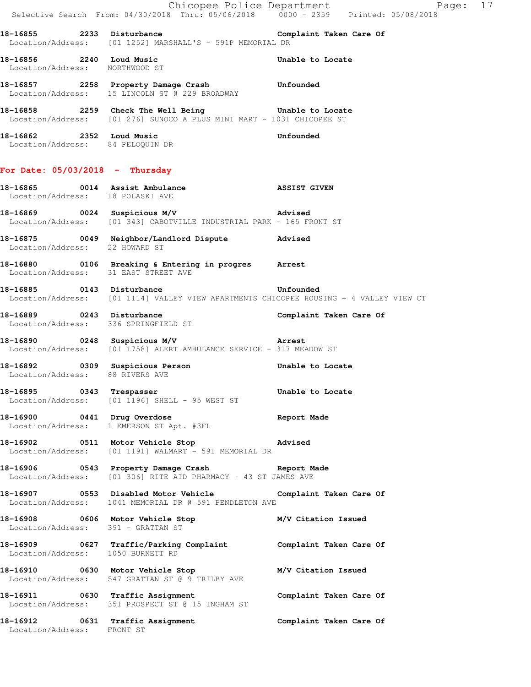|                                                            |                                                                                                                              | Page: 17                |
|------------------------------------------------------------|------------------------------------------------------------------------------------------------------------------------------|-------------------------|
|                                                            | Chicopee Police Department<br>Selective Search From: 04/30/2018 Thru: 05/06/2018 0000 - 2359 Printed: 05/08/2018             |                         |
|                                                            | 18-16855 2233 Disturbance Complaint Taken Care Of<br>Location/Address: [01 1252] MARSHALL'S - 591P MEMORIAL DR               |                         |
| 18-16856 2240 Loud Music<br>Location/Address: NORTHWOOD ST |                                                                                                                              | Unable to Locate        |
|                                                            | 18-16857 2258 Property Damage Crash Unfounded<br>Location/Address: 15 LINCOLN ST @ 229 BROADWAY                              |                         |
|                                                            | 18-16858 2259 Check The Well Being Unable to Locate<br>Location/Address: [01 276] SUNOCO A PLUS MINI MART - 1031 CHICOPEE ST |                         |
|                                                            | 18-16862 2352 Loud Music<br>Location/Address: 84 PELOQUIN DR                                                                 | Unfounded               |
| For Date: $05/03/2018$ - Thursday                          |                                                                                                                              |                         |
| Location/Address: 18 POLASKI AVE                           | 18-16865 0014 Assist Ambulance ASSIST GIVEN                                                                                  |                         |
|                                                            | 18-16869 0024 Suspicious M/V 18-16869 Advised<br>Location/Address: [01 343] CABOTVILLE INDUSTRIAL PARK - 165 FRONT ST        |                         |
| Location/Address: 22 HOWARD ST                             | 18-16875 0049 Neighbor/Landlord Dispute Advised                                                                              |                         |
| Location/Address: 31 EAST STREET AVE                       | 18-16880 <b>106</b> Breaking & Entering in progres Arrest                                                                    |                         |
|                                                            | 18-16885 0143 Disturbance<br>Location/Address: [01 1114] VALLEY VIEW APARTMENTS CHICOPEE HOUSING - 4 VALLEY VIEW CT          | Unfounded               |
| Location/Address: 336 SPRINGFIELD ST                       | 18-16889 0243 Disturbance                                                                                                    | Complaint Taken Care Of |
|                                                            | 18-16890 0248 Suspicious M/V 18-16890 Arrest<br>Location/Address: [01 1758] ALERT AMBULANCE SERVICE - 317 MEADOW ST          |                         |
| Location/Address: 88 RIVERS AVE                            | 18-16892 		 0309 Suspicious Person 		 Unable to Locate                                                                       |                         |
|                                                            | 18-16895 0343 Trespasser<br>Location/Address: [01 1196] SHELL - 95 WEST ST                                                   | Unable to Locate        |
| 18-16900 0441 Drug Overdose                                | Location/Address: 1 EMERSON ST Apt. #3FL                                                                                     | Report Made             |
|                                                            | Location/Address: [01 1191] WALMART - 591 MEMORIAL DR                                                                        |                         |
|                                                            | 18-16906 0543 Property Damage Crash Report Made<br>Location/Address: [01 306] RITE AID PHARMACY - 43 ST JAMES AVE            |                         |
|                                                            | 18-16907 0553 Disabled Motor Vehicle Complaint Taken Care Of<br>Location/Address: 1041 MEMORIAL DR @ 591 PENDLETON AVE       |                         |
| Location/Address: 391 - GRATTAN ST                         | 18-16908 0606 Motor Vehicle Stop M/V Citation Issued                                                                         |                         |
| Location/Address: 1050 BURNETT RD                          | 18-16909 0627 Traffic/Parking Complaint Complaint Taken Care Of                                                              |                         |
|                                                            | 18-16910 0630 Motor Vehicle Stop M/V Citation Issued<br>Location/Address: 547 GRATTAN ST @ 9 TRILBY AVE                      |                         |
|                                                            | 18-16911 18-16911 0630 Traffic Assignment 18 Complaint Taken Care Of<br>Location/Address: 351 PROSPECT ST @ 15 INGHAM ST     |                         |
| Location/Address: FRONT ST                                 | 18-16912 		 0631 Traffic Assignment 		 Complaint Taken Care Of                                                               |                         |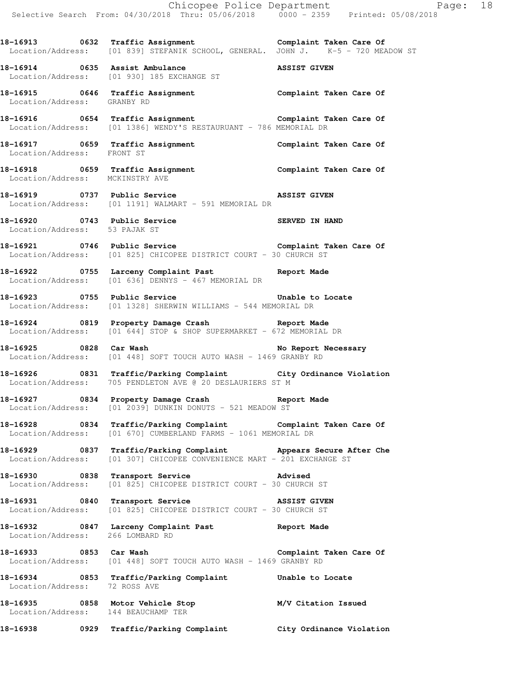18-16913 **18-16913** 0632 Traffic Assignment **Complaint Taken Care Of** Location/Address: [01 839] STEFANIK SCHOOL, GENERAL. JOHN J. K-5 - 720 MEADOW ST **18-16914 0635 Assist Ambulance ASSIST GIVEN** 

Location/Address: [01 930] 185 EXCHANGE ST

**18-16915 0646 Traffic Assignment Complaint Taken Care Of**  Location/Address: GRANBY RD

**18-16916 0654 Traffic Assignment Complaint Taken Care Of**  Location/Address: [01 1386] WENDY'S RESTAURUANT - 786 MEMORIAL DR

**18-16917 0659 Traffic Assignment Complaint Taken Care Of**  Location/Address: FRONT ST

**18-16918 0659 Traffic Assignment Complaint Taken Care Of**  Location/Address: MCKINSTRY AVE

**18-16919 0737 Public Service ASSIST GIVEN**  Location/Address: [01 1191] WALMART - 591 MEMORIAL DR

18-16920 **0743** Public Service **18-16920** SERVED IN HAND Location/Address: 53 PAJAK ST

**18-16921 0746 Public Service Complaint Taken Care Of**  Location/Address: [01 825] CHICOPEE DISTRICT COURT - 30 CHURCH ST

**18-16922 0755 Larceny Complaint Past Report Made**  Location/Address: [01 636] DENNYS - 467 MEMORIAL DR

**18-16923 0755 Public Service Unable to Locate**  Location/Address: [01 1328] SHERWIN WILLIAMS - 544 MEMORIAL DR

**18-16924 0819 Property Damage Crash Report Made**  Location/Address: [01 644] STOP & SHOP SUPERMARKET - 672 MEMORIAL DR

18-16925 0828 Car Wash **No Report Necessary** Location/Address: [01 448] SOFT TOUCH AUTO WASH - 1469 GRANBY RD

**18-16926 0831 Traffic/Parking Complaint City Ordinance Violation**  Location/Address: 705 PENDLETON AVE @ 20 DESLAURIERS ST M

**18-16927 0834 Property Damage Crash Report Made**  Location/Address: [01 2039] DUNKIN DONUTS - 521 MEADOW ST

**18-16928 0834 Traffic/Parking Complaint Complaint Taken Care Of**  Location/Address: [01 670] CUMBERLAND FARMS - 1061 MEMORIAL DR

**18-16929 0837 Traffic/Parking Complaint Appears Secure After Che**  Location/Address: [01 307] CHICOPEE CONVENIENCE MART - 201 EXCHANGE ST

**18-16930 0838 Transport Service Advised**  Location/Address: [01 825] CHICOPEE DISTRICT COURT - 30 CHURCH ST

**18-16931 0840 Transport Service ASSIST GIVEN**  Location/Address: [01 825] CHICOPEE DISTRICT COURT - 30 CHURCH ST

**18-16932 0847 Larceny Complaint Past Report Made**  Location/Address: 266 LOMBARD RD

**18-16933 0853 Car Wash Complaint Taken Care Of**  Location/Address: [01 448] SOFT TOUCH AUTO WASH - 1469 GRANBY RD

**18-16934 0853 Traffic/Parking Complaint Unable to Locate**  Location/Address: 72 ROSS AVE

**18-16935 0858 Motor Vehicle Stop M/V Citation Issued**  Location/Address: 144 BEAUCHAMP TER

**18-16938 0929 Traffic/Parking Complaint City Ordinance Violation**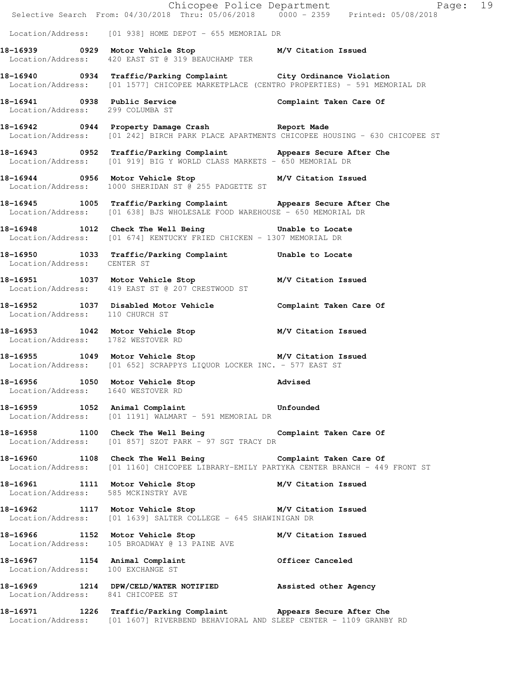|                                    | E<br>Chicopee Police Department<br>Selective Search From: 04/30/2018 Thru: 05/06/2018 0000 - 2359 Printed: 05/08/2018                                      | Page: 19 |
|------------------------------------|------------------------------------------------------------------------------------------------------------------------------------------------------------|----------|
|                                    | Location/Address: [01 938] HOME DEPOT - 655 MEMORIAL DR                                                                                                    |          |
|                                    | 18-16939 		 0929 Motor Vehicle Stop 		 M/V Citation Issued<br>Location/Address: 420 EAST ST @ 319 BEAUCHAMP TER                                            |          |
|                                    | 18-16940 0934 Traffic/Parking Complaint City Ordinance Violation<br>Location/Address: [01 1577] CHICOPEE MARKETPLACE (CENTRO PROPERTIES) - 591 MEMORIAL DR |          |
|                                    | 18-16941 0938 Public Service Complaint Taken Care Of<br>Location/Address: 299 COLUMBA ST                                                                   |          |
|                                    | 18-16942 0944 Property Damage Crash Report Made<br>Location/Address: [01 242] BIRCH PARK PLACE APARTMENTS CHICOPEE HOUSING - 630 CHICOPEE ST               |          |
|                                    | 18-16943 0952 Traffic/Parking Complaint Appears Secure After Che<br>Location/Address: [01 919] BIG Y WORLD CLASS MARKETS - 650 MEMORIAL DR                 |          |
|                                    | 18-16944 0956 Motor Vehicle Stop M/V Citation Issued<br>Location/Address: 1000 SHERIDAN ST @ 255 PADGETTE ST                                               |          |
|                                    | 18-16945 1005 Traffic/Parking Complaint Appears Secure After Che<br>Location/Address: [01 638] BJS WHOLESALE FOOD WAREHOUSE - 650 MEMORIAL DR              |          |
|                                    | 18-16948 1012 Check The Well Being 5 Unable to Locate<br>Location/Address: [01 674] KENTUCKY FRIED CHICKEN - 1307 MEMORIAL DR                              |          |
| Location/Address: CENTER ST        | 18-16950 1033 Traffic/Parking Complaint Unable to Locate                                                                                                   |          |
|                                    | 18-16951 1037 Motor Vehicle Stop M/V Citation Issued<br>Location/Address: 419 EAST ST @ 207 CRESTWOOD ST                                                   |          |
| Location/Address: 110 CHURCH ST    | 18-16952 1037 Disabled Motor Vehicle Complaint Taken Care Of                                                                                               |          |
| Location/Address: 1782 WESTOVER RD | 18-16953 1042 Motor Vehicle Stop M/V Citation Issued                                                                                                       |          |
|                                    | 18-16955 1049 Motor Vehicle Stop M/V Citation Issued<br>Location/Address: [01 652] SCRAPPYS LIQUOR LOCKER INC. - 577 EAST ST                               |          |
| 18-16956 1050 Motor Vehicle Stop   | Location/Address: 1640 WESTOVER RD                                                                                                                         | Advised  |
|                                    | 18-16959 1052 Animal Complaint 18-16959 Unfounded<br>Location/Address: [01 1191] WALMART - 591 MEMORIAL DR                                                 |          |
|                                    | 18-16958 1100 Check The Well Being Complaint Taken Care Of<br>Location/Address: [01 857] SZOT PARK - 97 SGT TRACY DR                                       |          |
|                                    | 18-16960 1108 Check The Well Being Complaint Taken Care Of<br>Location/Address: [01 1160] CHICOPEE LIBRARY-EMILY PARTYKA CENTER BRANCH - 449 FRONT ST      |          |
|                                    | 18-16961   1111   Motor Vehicle Stop   M/V Citation Issued Location/Address: 585 MCKINSTRY AVE                                                             |          |
|                                    | 18-16962 1117 Motor Vehicle Stop M/V Citation Issued<br>Location/Address: [01 1639] SALTER COLLEGE - 645 SHAWINIGAN DR                                     |          |
|                                    | 18-16966 1152 Motor Vehicle Stop M/V Citation Issued<br>Tocation/Address: 105 BROADWAY @ 13 PAINE AVE<br>Location/Address: 105 BROADWAY @ 13 PAINE AVE     |          |
| Location/Address: 100 EXCHANGE ST  | 18-16967 1154 Animal Complaint 61 Officer Canceled                                                                                                         |          |
| Location/Address: 841 CHICOPEE ST  | 18-16969 1214 DPW/CELD/WATER NOTIFIED Assisted other Agency                                                                                                |          |
|                                    | 18-16971 1226 Traffic/Parking Complaint Appears Secure After Che<br>Location/Address: [01 1607] RIVERBEND BEHAVIORAL AND SLEEP CENTER - 1109 GRANBY RD     |          |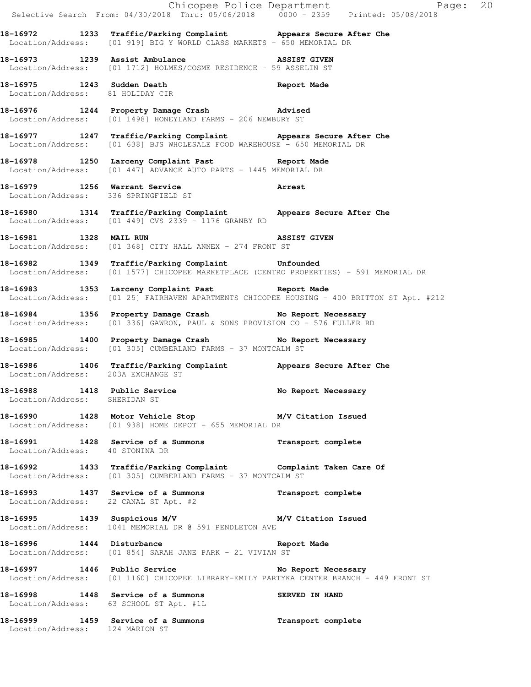|                                  |                                                                                                                                               | Chicopee Police Department<br>Selective Search From: 04/30/2018 Thru: 05/06/2018 0000 - 2359 Printed: 05/08/2018 |
|----------------------------------|-----------------------------------------------------------------------------------------------------------------------------------------------|------------------------------------------------------------------------------------------------------------------|
|                                  | 18-16972 1233 Traffic/Parking Complaint Appears Secure After Che<br>Location/Address: [01 919] BIG Y WORLD CLASS MARKETS - 650 MEMORIAL DR    |                                                                                                                  |
|                                  | 18-16973 1239 Assist Ambulance 18-16973 ASSIST GIVEN<br>Location/Address: [01 1712] HOLMES/COSME RESIDENCE - 59 ASSELIN ST                    |                                                                                                                  |
| Location/Address: 81 HOLIDAY CIR | 18-16975 1243 Sudden Death Negort Made                                                                                                        |                                                                                                                  |
|                                  | 18-16976 1244 Property Damage Crash Madvised<br>Location/Address: [01 1498] HONEYLAND FARMS - 206 NEWBURY ST                                  |                                                                                                                  |
|                                  | 18-16977 1247 Traffic/Parking Complaint Appears Secure After Che<br>Location/Address: [01 638] BJS WHOLESALE FOOD WAREHOUSE - 650 MEMORIAL DR |                                                                                                                  |
|                                  | 18-16978 1250 Larceny Complaint Past 18-16978 Report Made<br>Location/Address: [01 447] ADVANCE AUTO PARTS - 1445 MEMORIAL DR                 |                                                                                                                  |
|                                  | 18-16979 1256 Warrant Service<br>Location/Address: 336 SPRINGFIELD ST                                                                         |                                                                                                                  |
|                                  | 18-16980 1314 Traffic/Parking Complaint Appears Secure After Che<br>Location/Address: [01 449] CVS 2339 - 1176 GRANBY RD                      |                                                                                                                  |
| 18-16981 1328 MAIL RUN           | ASSIST GIVEN<br>Location/Address: [01 368] CITY HALL ANNEX - 274 FRONT ST                                                                     |                                                                                                                  |
|                                  | 18-16982 1349 Traffic/Parking Complaint Unfounded<br>Location/Address: [01 1577] CHICOPEE MARKETPLACE (CENTRO PROPERTIES) - 591 MEMORIAL DR   |                                                                                                                  |
|                                  | 18-16983 1353 Larceny Complaint Past 18-16983                                                                                                 | Location/Address: [01 25] FAIRHAVEN APARTMENTS CHICOPEE HOUSING - 400 BRITTON ST Apt. #212                       |
|                                  | 18-16984 1356 Property Damage Crash No Report Necessary<br>Location/Address: [01 336] GAWRON, PAUL & SONS PROVISION CO - 576 FULLER RD        |                                                                                                                  |
|                                  | 18-16985 1400 Property Damage Crash No Report Necessary<br>Location/Address: [01 305] CUMBERLAND FARMS - 37 MONTCALM ST                       |                                                                                                                  |
|                                  | 18-16986 1406 Traffic/Parking Complaint Appears Secure After Che<br>Location/Address: 203A EXCHANGE ST                                        |                                                                                                                  |
| Location/Address: SHERIDAN ST    | 18-16988 1418 Public Service No Report Necessary                                                                                              |                                                                                                                  |
|                                  | 18-16990 1428 Motor Vehicle Stop M/V Citation Issued<br>Location/Address: [01 938] HOME DEPOT - 655 MEMORIAL DR                               |                                                                                                                  |
| Location/Address: 40 STONINA DR  | 18-16991 1428 Service of a Summons Transport complete                                                                                         |                                                                                                                  |
|                                  | 18-16992 1433 Traffic/Parking Complaint Complaint Taken Care Of<br>Location/Address: [01 305] CUMBERLAND FARMS - 37 MONTCALM ST               |                                                                                                                  |
|                                  | 18-16993 1437 Service of a Summons Transport complete<br>Location/Address: 22 CANAL ST Apt. #2                                                |                                                                                                                  |
|                                  | 18-16995 1439 Suspicious M/V 18-16995 M/V Citation Issued<br>Location/Address: 1041 MEMORIAL DR @ 591 PENDLETON AVE                           |                                                                                                                  |
| 18-16996 1444 Disturbance        | Location/Address: [01 854] SARAH JANE PARK - 21 VIVIAN ST                                                                                     | Report Made                                                                                                      |
|                                  | 18-16997 1446 Public Service No Report Necessary<br>Location/Address: [01 1160] CHICOPEE LIBRARY-EMILY PARTYKA CENTER BRANCH - 449 FRONT ST   |                                                                                                                  |
|                                  | 18-16998 1448 Service of a Summons<br>Location/Address: 63 SCHOOL ST Apt. #1L                                                                 | SERVED IN HAND                                                                                                   |
|                                  | 18-16999 1459 Service of a Summons<br>Location/Address: 124 MARION ST                                                                         | Transport complete                                                                                               |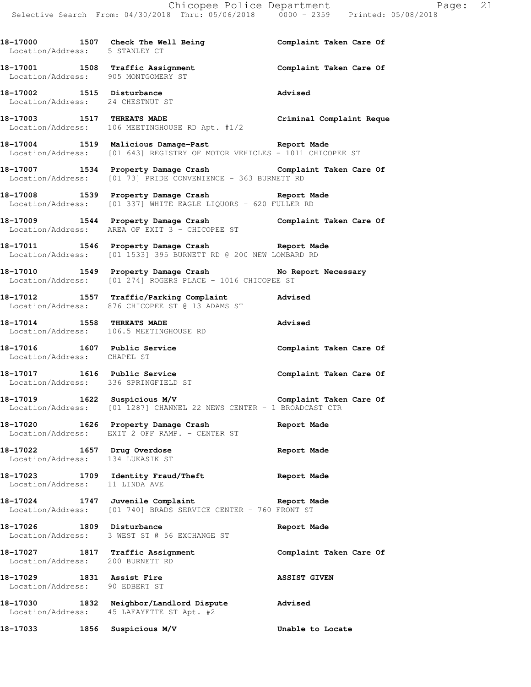**18-17000 1507 Check The Well Being Complaint Taken Care Of**  Location/Address: 5 STANLEY CT **18-17001 1508 Traffic Assignment Complaint Taken Care Of**  Location/Address: 905 MONTGOMERY ST **18-17002 1515 Disturbance Advised**  Location/Address: 24 CHESTNUT ST **18-17003 1517 THREATS MADE Criminal Complaint Reque**  Location/Address: 106 MEETINGHOUSE RD Apt. #1/2 **18-17004 1519 Malicious Damage-Past Report Made**  Location/Address: [01 643] REGISTRY OF MOTOR VEHICLES - 1011 CHICOPEE ST **18-17007 1534 Property Damage Crash Complaint Taken Care Of**  Location/Address: [01 73] PRIDE CONVENIENCE - 363 BURNETT RD **18-17008 1539 Property Damage Crash Report Made**  Location/Address: [01 337] WHITE EAGLE LIQUORS - 620 FULLER RD **18-17009 1544 Property Damage Crash Complaint Taken Care Of**  Location/Address: AREA OF EXIT 3 - CHICOPEE ST **18-17011 1546 Property Damage Crash Report Made**  Location/Address: [01 1533] 395 BURNETT RD @ 200 NEW LOMBARD RD 18-17010 1549 Property Damage Crash No Report Necessary Location/Address: [01 274] ROGERS PLACE - 1016 CHICOPEE ST **18-17012 1557 Traffic/Parking Complaint Advised**  Location/Address: 876 CHICOPEE ST @ 13 ADAMS ST **18-17014 1558 THREATS MADE Advised**  Location/Address: 106.5 MEETINGHOUSE RD 18-17016 1607 Public Service **181 Complaint Taken Care Of**  Location/Address: CHAPEL ST **18-17017 1616 Public Service Complaint Taken Care Of**  Location/Address: 336 SPRINGFIELD ST **18-17019 1622 Suspicious M/V Complaint Taken Care Of**  Location/Address: [01 1287] CHANNEL 22 NEWS CENTER - 1 BROADCAST CTR **18-17020 1626 Property Damage Crash Report Made**  Location/Address: EXIT 2 OFF RAMP. - CENTER ST **18-17022 1657 Drug Overdose Report Made**  Location/Address: 134 LUKASIK ST **18-17023 1709 Identity Fraud/Theft Report Made**  Location/Address: 11 LINDA AVE **18-17024 1747 Juvenile Complaint Report Made**  Location/Address: [01 740] BRADS SERVICE CENTER - 760 FRONT ST **18-17026 1809 Disturbance Report Made**  Location/Address: 3 WEST ST @ 56 EXCHANGE ST **18-17027 1817 Traffic Assignment Complaint Taken Care Of**  Location/Address: 200 BURNETT RD **18-17029 1831 Assist Fire ASSIST GIVEN**  Location/Address: 90 EDBERT ST **18-17030 1832 Neighbor/Landlord Dispute Advised**  Location/Address: 45 LAFAYETTE ST Apt. #2 **18-17033 1856 Suspicious M/V Unable to Locate**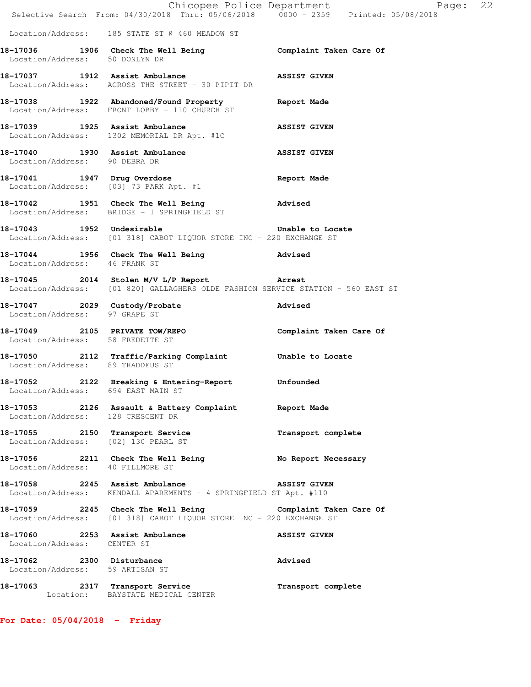|                                                               | E Chicopee Police Department<br>Selective Search From: 04/30/2018 Thru: 05/06/2018 0000 - 2359 Printed: 05/08/2018                | Page: 22            |
|---------------------------------------------------------------|-----------------------------------------------------------------------------------------------------------------------------------|---------------------|
|                                                               |                                                                                                                                   |                     |
|                                                               | Location/Address: 185 STATE ST @ 460 MEADOW ST                                                                                    |                     |
| Location/Address: 50 DONLYN DR                                | 18-17036 1906 Check The Well Being Complaint Taken Care Of                                                                        |                     |
|                                                               | 18-17037 1912 Assist Ambulance ASSIST GIVEN<br>Location/Address: ACROSS THE STREET - 30 PIPIT DR                                  |                     |
|                                                               | 18-17038 1922 Abandoned/Found Property Report Made<br>Location/Address: FRONT LOBBY - 110 CHURCH ST                               |                     |
| 18-17039 1925 Assist Ambulance                                | Location/Address: 1302 MEMORIAL DR Apt. #1C                                                                                       | <b>ASSIST GIVEN</b> |
| Location/Address: 90 DEBRA DR                                 | 18-17040 1930 Assist Ambulance NSSIST GIVEN                                                                                       |                     |
|                                                               | 18-17041 1947 Drug Overdose<br>Location/Address: [03] 73 PARK Apt. #1                                                             | <b>Report Made</b>  |
|                                                               | 18-17042 1951 Check The Well Being<br>Location/Address: BRIDGE - 1 SPRINGFIELD ST                                                 | Advised             |
|                                                               | 18-17043 1952 Undesirable 20 20 Unable to Locate<br>Location/Address: [01 318] CABOT LIQUOR STORE INC - 220 EXCHANGE ST           |                     |
| Location/Address: 46 FRANK ST                                 | 18-17044 1956 Check The Well Being 3 Advised                                                                                      |                     |
|                                                               | 18-17045 2014 Stolen M/V L/P Report Arrest<br>Location/Address: [01 820] GALLAGHERS OLDE FASHION SERVICE STATION - 560 EAST ST    |                     |
| Location/Address: 97 GRAPE ST                                 | 18-17047 2029 Custody/Probate 2007 advised                                                                                        |                     |
| Location/Address: 58 FREDETTE ST                              | 18-17049 2105 PRIVATE TOW/REPO Complaint Taken Care Of                                                                            |                     |
| Location/Address: 89 THADDEUS ST                              | 18-17050 2112 Traffic/Parking Complaint Unable to Locate                                                                          |                     |
| Location/Address: 694 EAST MAIN ST                            | 18-17052 2122 Breaking & Entering-Report Unfounded                                                                                |                     |
| Location/Address: 128 CRESCENT DR                             | 18-17053 2126 Assault & Battery Complaint Report Made                                                                             |                     |
|                                                               | 18-17055 2150 Transport Service<br>Location/Address: [02] 130 PEARL ST                                                            | Transport complete  |
| Location/Address: 40 FILLMORE ST                              | 18-17056 2211 Check The Well Being No Report Necessary                                                                            |                     |
|                                                               | 18-17058 2245 Assist Ambulance<br>Location/Address: KENDALL APAREMENTS - 4 SPRINGFIELD ST Apt. #110                               | <b>ASSIST GIVEN</b> |
|                                                               | 18-17059 2245 Check The Well Being Complaint Taken Care Of<br>Location/Address: [01 318] CABOT LIQUOR STORE INC - 220 EXCHANGE ST |                     |
| 18-17060 2253 Assist Ambulance<br>Location/Address: CENTER ST |                                                                                                                                   | <b>ASSIST GIVEN</b> |
| 18-17062 2300 Disturbance<br>Location/Address: 59 ARTISAN ST  |                                                                                                                                   | Advised             |
|                                                               | 18-17063 2317 Transport Service<br>Location: BAYSTATE MEDICAL CENTER                                                              | Transport complete  |

**For Date: 05/04/2018 - Friday**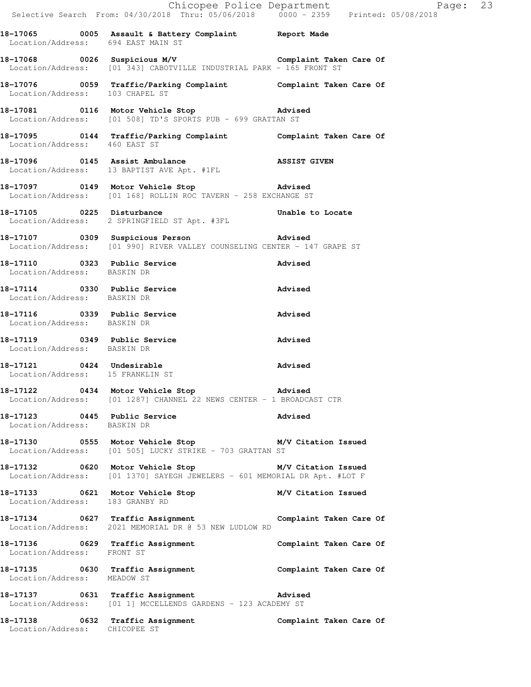|                                                               | E Chicopee Police Department<br>Selective Search From: 04/30/2018 Thru: 05/06/2018 0000 - 2359 Printed: 05/08/2018                | Page: 23 |
|---------------------------------------------------------------|-----------------------------------------------------------------------------------------------------------------------------------|----------|
| Location/Address: 694 EAST MAIN ST                            | 18-17065 0005 Assault & Battery Complaint Report Made                                                                             |          |
|                                                               | 18-17068 0026 Suspicious M/V Complaint Taken Care Of<br>Location/Address: [01 343] CABOTVILLE INDUSTRIAL PARK - 165 FRONT ST      |          |
|                                                               | 18-17076   0059   Traffic/Parking Complaint   Complaint Taken Care Of $\sim$ Location/Address: 103 CHAPEL ST                      |          |
|                                                               | 18-17081 0116 Motor Vehicle Stop Movised<br>Location/Address: [01 508] TD'S SPORTS PUB - 699 GRATTAN ST                           |          |
|                                                               | 18-17095 0144 Traffic/Parking Complaint Complaint Taken Care Of Location/Address: 460 EAST ST                                     |          |
|                                                               | 18-17096 0145 Assist Ambulance ASSIST GIVEN Location/Address: 13 BAPTIST AVE Apt. #1FL                                            |          |
|                                                               | 18-17097 0149 Motor Vehicle Stop 30 Advised<br>Location/Address: [01 168] ROLLIN ROC TAVERN - 258 EXCHANGE ST                     |          |
|                                                               | 18-17105 0225 Disturbance <b>18-17105</b> Unable to Locate<br>Location/Address: 2 SPRINGFIELD ST Apt. #3FL                        |          |
|                                                               | 18-17107 18-17107 0309 Suspicious Person 18-17107<br>Location/Address: [01 990] RIVER VALLEY COUNSELING CENTER - 147 GRAPE ST     |          |
| Location/Address: BASKIN DR                                   | 18-17110 0323 Public Service                                                                                                      | Advised  |
| 18-17114 0330 Public Service<br>Location/Address: BASKIN DR   |                                                                                                                                   | Advised  |
| Location/Address: BASKIN DR                                   | 18-17116 0339 Public Service                                                                                                      | Advised  |
| 18-17119 0349 Public Service<br>Location/Address: BASKIN DR   |                                                                                                                                   | Advised  |
| 18-17121 0424 Undesirable<br>Location/Address: 15 FRANKLIN ST |                                                                                                                                   | Advised  |
|                                                               | 18-17122 0434 Motor Vehicle Stop 318-17122<br>Location/Address: [01 1287] CHANNEL 22 NEWS CENTER - 1 BROADCAST CTR                |          |
| 18-17123 0445 Public Service<br>Location/Address: BASKIN DR   |                                                                                                                                   | Advised  |
|                                                               | 18-17130 0555 Motor Vehicle Stop M/V Citation Issued<br>Location/Address: [01 505] LUCKY STRIKE - 703 GRATTAN ST                  |          |
|                                                               | 18-17132 0620 Motor Vehicle Stop M/V Citation Issued<br>Location/Address: [01 1370] SAYEGH JEWELERS - 601 MEMORIAL DR Apt. #LOT F |          |
| Location/Address: 183 GRANBY RD                               | 18-17133 0621 Motor Vehicle Stop M/V Citation Issued                                                                              |          |
|                                                               | 18-17134 0627 Traffic Assignment Complaint Taken Care Of<br>Location/Address: 2021 MEMORIAL DR @ 53 NEW LUDLOW RD                 |          |
| Location/Address: FRONT ST                                    | 18-17136 0629 Traffic Assignment 18-17136 Complaint Taken Care Of                                                                 |          |
| Location/Address: MEADOW ST                                   | 18-17135 0630 Traffic Assignment Complaint Taken Care Of                                                                          |          |
|                                                               | 18-17137 0631 Traffic Assignment Advised<br>Location/Address: [01 1] MCCELLENDS GARDENS - 123 ACADEMY ST                          |          |
| Location/Address: CHICOPEE ST                                 | 18-17138 0632 Traffic Assignment Complaint Taken Care Of                                                                          |          |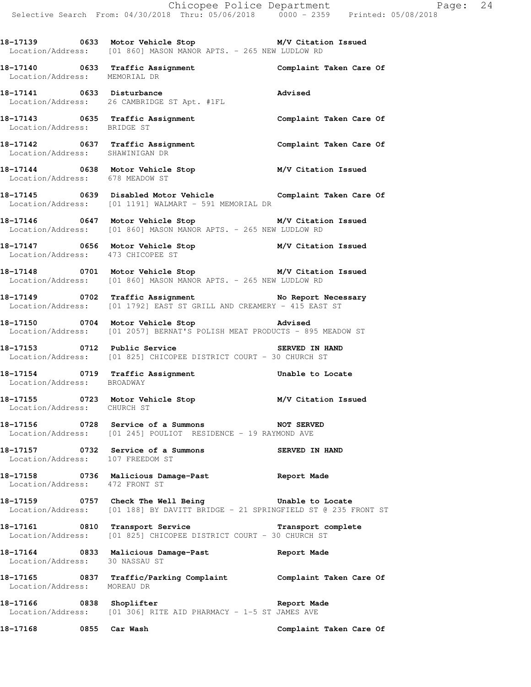**18-17139 0633 Motor Vehicle Stop M/V Citation Issued**  Location/Address: [01 860] MASON MANOR APTS. - 265 NEW LUDLOW RD

**18-17140 0633 Traffic Assignment Complaint Taken Care Of**  Location/Address: MEMORIAL DR

**18-17141 0633 Disturbance Advised**  Location/Address: 26 CAMBRIDGE ST Apt. #1FL

18-17143 **18-17143** 0635 Traffic Assignment **Complaint Taken Care Of** Location/Address: BRIDGE ST

**18-17142 0637 Traffic Assignment Complaint Taken Care Of**  Location/Address: SHAWINIGAN DR

**18-17144 0638 Motor Vehicle Stop M/V Citation Issued**  Location/Address: 678 MEADOW ST

**18-17145 0639 Disabled Motor Vehicle Complaint Taken Care Of**  Location/Address: [01 1191] WALMART - 591 MEMORIAL DR

**18-17146 0647 Motor Vehicle Stop M/V Citation Issued**  Location/Address: [01 860] MASON MANOR APTS. - 265 NEW LUDLOW RD

**18-17147 0656 Motor Vehicle Stop M/V Citation Issued**  Location/Address: 473 CHICOPEE ST

**18-17148 0701 Motor Vehicle Stop M/V Citation Issued**  Location/Address: [01 860] MASON MANOR APTS. - 265 NEW LUDLOW RD

**18-17149 0702 Traffic Assignment No Report Necessary**  Location/Address: [01 1792] EAST ST GRILL AND CREAMERY - 415 EAST ST

**18-17150 0704 Motor Vehicle Stop Advised**  Location/Address: [01 2057] BERNAT'S POLISH MEAT PRODUCTS - 895 MEADOW ST

18-17153 0712 Public Service **1888** SERVED IN HAND Location/Address: [01 825] CHICOPEE DISTRICT COURT - 30 CHURCH ST

**18-17154 0719 Traffic Assignment Unable to Locate**  Location/Address: BROADWAY

**18-17155 0723 Motor Vehicle Stop M/V Citation Issued**  Location/Address: CHURCH ST

**18-17156 0728 Service of a Summons NOT SERVED**  Location/Address: [01 245] POULIOT RESIDENCE - 19 RAYMOND AVE

**18-17157 0732 Service of a Summons SERVED IN HAND**  Location/Address: 107 FREEDOM ST

**18-17158 0736 Malicious Damage-Past Report Made**  Location/Address: 472 FRONT ST

**18-17159 0757 Check The Well Being Unable to Locate**  Location/Address: [01 188] BY DAVITT BRIDGE - 21 SPRINGFIELD ST @ 235 FRONT ST

**18-17161 0810 Transport Service Transport complete**  Location/Address: [01 825] CHICOPEE DISTRICT COURT - 30 CHURCH ST

**18-17164 0833 Malicious Damage-Past Report Made**  Location/Address: 30 NASSAU ST

**18-17165 0837 Traffic/Parking Complaint Complaint Taken Care Of**  Location/Address: MOREAU DR

**18-17166 0838 Shoplifter Report Made**  Location/Address:  $[01]$  306] RITE AID PHARMACY - 1-5 ST JAMES AVE

**18-17168 0855 Car Wash Complaint Taken Care Of**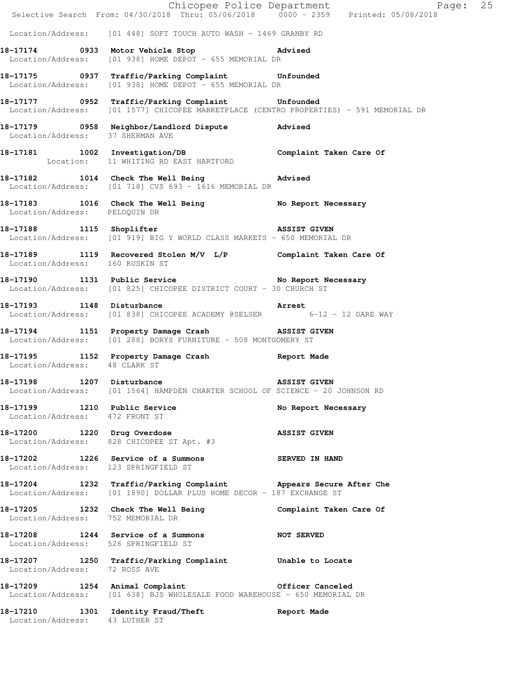|                                                                |                                                                                                                                             | Chicopee Police Department<br>Selective Search From: 04/30/2018 Thru: 05/06/2018 0000 - 2359 Printed: 05/08/2018 |
|----------------------------------------------------------------|---------------------------------------------------------------------------------------------------------------------------------------------|------------------------------------------------------------------------------------------------------------------|
|                                                                | Location/Address: [01 448] SOFT TOUCH AUTO WASH - 1469 GRANBY RD                                                                            |                                                                                                                  |
|                                                                | 18-17174 0933 Motor Vehicle Stop Contract Madvised<br>Location/Address: [01 938] HOME DEPOT - 655 MEMORIAL DR                               |                                                                                                                  |
|                                                                | 18-17175 0937 Traffic/Parking Complaint Unfounded<br>Location/Address: [01 938] HOME DEPOT - 655 MEMORIAL DR                                |                                                                                                                  |
|                                                                | 18-17177 0952 Traffic/Parking Complaint Unfounded<br>Location/Address: [01 1577] CHICOPEE MARKETPLACE (CENTRO PROPERTIES) - 591 MEMORIAL DR |                                                                                                                  |
|                                                                | 18-17179 0958 Neighbor/Landlord Dispute Advised<br>Location/Address: 37 SHERMAN AVE                                                         |                                                                                                                  |
|                                                                | 18-17181 1002 Investigation/DB Complaint Taken Care Of Complaint Complaint Complaint Care Of                                                |                                                                                                                  |
|                                                                | 18-17182 1014 Check The Well Being Advised<br>Location/Address: [01 718] CVS 693 - 1616 MEMORIAL DR                                         |                                                                                                                  |
| Location/Address: PELOQUIN DR                                  | 18-17183 1016 Check The Well Being No Report Necessary                                                                                      |                                                                                                                  |
|                                                                | 18-17188 1115 Shoplifter 18-17188 18851 1115 Shoplifter<br>Location/Address: [01 919] BIG Y WORLD CLASS MARKETS - 650 MEMORIAL DR           |                                                                                                                  |
| Location/Address: 160 RUSKIN ST                                | 18-17189 1119 Recovered Stolen M/V L/P Complaint Taken Care Of                                                                              |                                                                                                                  |
|                                                                | 18-17190 1131 Public Service No Report Necessary<br>Location/Address: [01 825] CHICOPEE DISTRICT COURT - 30 CHURCH ST                       |                                                                                                                  |
|                                                                | 18-17193 1148 Disturbance 2001 1148 Arrest<br>Location/Address: [01 838] CHICOPEE ACADEMY @SELSER 6-12 - 12 DARE WAY                        |                                                                                                                  |
|                                                                | 18-17194 1151 Property Damage Crash NSSIST GIVEN<br>Location/Address: [01 288] BORYS FURNITURE - 508 MONTGOMERY ST                          |                                                                                                                  |
| Location/Address: 48 CLARK ST                                  | 18-17195 1152 Property Damage Crash 18-17195                                                                                                |                                                                                                                  |
| 18-17198 1207 Disturbance                                      | Location/Address: [01 1564] HAMPDEN CHARTER SCHOOL OF SCIENCE - 20 JOHNSON RD                                                               | <b>ASSIST GIVEN</b>                                                                                              |
| 18-17199 1210 Public Service<br>Location/Address: 472 FRONT ST |                                                                                                                                             | No Report Necessary                                                                                              |
|                                                                | 18-17200 1220 Drug Overdose<br>Location/Address: 828 CHICOPEE ST Apt. #3                                                                    | <b>ASSIST GIVEN</b>                                                                                              |
| Location/Address: 123 SPRINGFIELD ST                           | 18-17202 1226 Service of a Summons SERVED IN HAND                                                                                           |                                                                                                                  |
|                                                                | 18-17204 1232 Traffic/Parking Complaint Appears Secure After Che<br>Location/Address: [01 1890] DOLLAR PLUS HOME DECOR - 187 EXCHANGE ST    |                                                                                                                  |
| Location/Address: 752 MEMORIAL DR                              | 18-17205 1232 Check The Well Being Complaint Taken Care Of                                                                                  |                                                                                                                  |
| Location/Address: 526 SPRINGFIELD ST                           | 18-17208 1244 Service of a Summons NOT SERVED                                                                                               |                                                                                                                  |
| Location/Address: 72 ROSS AVE                                  | 18-17207 1250 Traffic/Parking Complaint Unable to Locate                                                                                    |                                                                                                                  |
|                                                                | 18-17209 1254 Animal Complaint 18-17209 1254<br>Location/Address: [01 638] BJS WHOLESALE FOOD WAREHOUSE - 650 MEMORIAL DR                   |                                                                                                                  |
| Location/Address: 43 LUTHER ST                                 | 18-17210 1301 Identity Fraud/Theft                                                                                                          | Report Made                                                                                                      |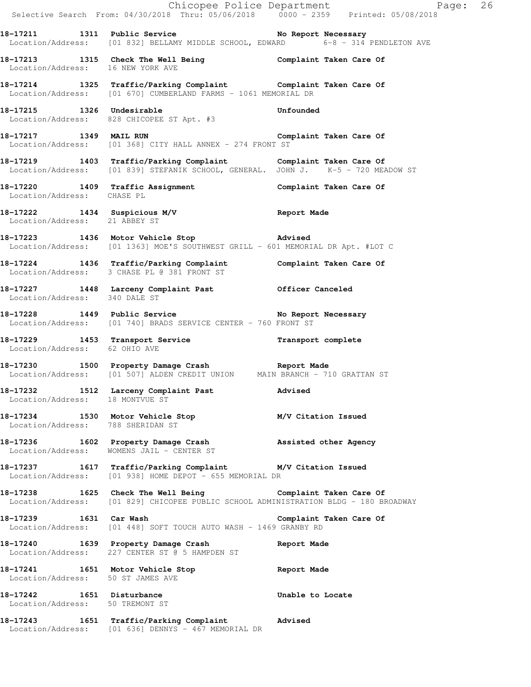|                                                              |                                                                                                                                                     | Chicopee Police Department<br>Selective Search From: 04/30/2018 Thru: 05/06/2018 0000 - 2359 Printed: 05/08/2018 |  |
|--------------------------------------------------------------|-----------------------------------------------------------------------------------------------------------------------------------------------------|------------------------------------------------------------------------------------------------------------------|--|
|                                                              | 18-17211 1311 Public Service No Report Necessary<br>Location/Address: [01 832] BELLAMY MIDDLE SCHOOL, EDWARD 6-8 - 314 PENDLETON AVE                |                                                                                                                  |  |
| Location/Address: 16 NEW YORK AVE                            | 18-17213 1315 Check The Well Being Complaint Taken Care Of                                                                                          |                                                                                                                  |  |
|                                                              | 18-17214 1325 Traffic/Parking Complaint Complaint Taken Care Of Location/Address: [01 670] CUMBERLAND FARMS - 1061 MEMORIAL DR                      |                                                                                                                  |  |
| 18-17215 1326 Undesirable                                    | 18-17215 1326 Undesirable Unfounded Unfounded Location/Address: 828 CHICOPEE ST Apt. #3                                                             |                                                                                                                  |  |
|                                                              | 18-17217 1349 MAIL RUN Complaint Taken Care Of<br>Location/Address: [01 368] CITY HALL ANNEX - 274 FRONT ST                                         |                                                                                                                  |  |
|                                                              | 18-17219 1403 Traffic/Parking Complaint Complaint Taken Care Of<br>Location/Address: [01 839] STEFANIK SCHOOL, GENERAL. JOHN J. K-5 - 720 MEADOW ST |                                                                                                                  |  |
| Location/Address: CHASE PL                                   | 18-17220 1409 Traffic Assignment Complaint Taken Care Of                                                                                            |                                                                                                                  |  |
| Location/Address: 21 ABBEY ST                                | 18-17222 1434 Suspicious M/V Report Made                                                                                                            |                                                                                                                  |  |
|                                                              | 18-17223 1436 Motor Vehicle Stop Modvised<br>Location/Address: [01 1363] MOE'S SOUTHWEST GRILL - 601 MEMORIAL DR Apt. #LOT C                        |                                                                                                                  |  |
|                                                              | 18-17224 1436 Traffic/Parking Complaint Complaint Taken Care Of<br>Location/Address: 3 CHASE PL @ 381 FRONT ST                                      |                                                                                                                  |  |
| Location/Address: 340 DALE ST                                | 18-17227 1448 Larceny Complaint Past 0fficer Canceled                                                                                               |                                                                                                                  |  |
|                                                              | 18-17228 1449 Public Service No Report Necessary<br>Location/Address: [01 740] BRADS SERVICE CENTER - 760 FRONT ST                                  |                                                                                                                  |  |
| Location/Address: 62 OHIO AVE                                | 18-17229 1453 Transport Service <b>18-17229</b> Transport complete                                                                                  |                                                                                                                  |  |
|                                                              | 18-17230 1500 Property Damage Crash Report Made<br>Location/Address: [01 507] ALDEN CREDIT UNION MAIN BRANCH - 710 GRATTAN ST                       |                                                                                                                  |  |
| Location/Address: 18 MONTVUE ST                              | 18-17232 1512 Larceny Complaint Past                                                                                                                | Advised                                                                                                          |  |
| Location/Address: 788 SHERIDAN ST                            | 18-17234 1530 Motor Vehicle Stop M/V Citation Issued                                                                                                |                                                                                                                  |  |
|                                                              | 18-17236 1602 Property Damage Crash Massisted other Agency<br>Location/Address: WOMENS JAIL - CENTER ST                                             |                                                                                                                  |  |
|                                                              | 18-17237 1617 Traffic/Parking Complaint M/V Citation Issued<br>Location/Address: [01 938] HOME DEPOT - 655 MEMORIAL DR                              |                                                                                                                  |  |
|                                                              | 18-17238 1625 Check The Well Being Complaint Taken Care Of<br>Location/Address: [01 829] CHICOPEE PUBLIC SCHOOL ADMINISTRATION BLDG - 180 BROADWAY  |                                                                                                                  |  |
|                                                              | 18-17239 1631 Car Wash<br>Location/Address: [01 448] SOFT TOUCH AUTO WASH - 1469 GRANBY RD                                                          | Complaint Taken Care Of                                                                                          |  |
|                                                              | 18-17240 1639 Property Damage Crash<br>Location/Address: 227 CENTER ST @ 5 HAMPDEN ST                                                               | Report Made                                                                                                      |  |
| Location/Address: 50 ST JAMES AVE                            | 18-17241 1651 Motor Vehicle Stop Steport Made                                                                                                       |                                                                                                                  |  |
| 18-17242 1651 Disturbance<br>Location/Address: 50 TREMONT ST |                                                                                                                                                     | Unable to Locate                                                                                                 |  |
|                                                              | 18-17243 1651 Traffic/Parking Complaint Advised<br>Location/Address: [01 636] DENNYS - 467 MEMORIAL DR                                              |                                                                                                                  |  |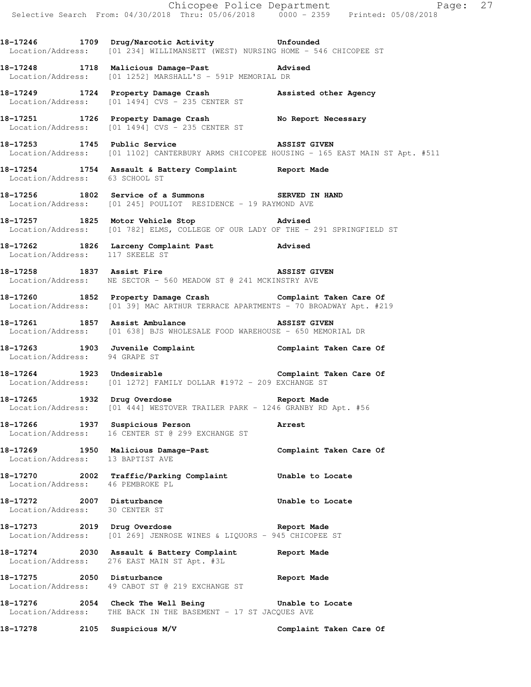**18-17246 1709 Drug/Narcotic Activity Unfounded**  Location/Address: [01 234] WILLIMANSETT (WEST) NURSING HOME - 546 CHICOPEE ST

**18-17248 1718 Malicious Damage-Past Advised**  Location/Address: [01 1252] MARSHALL'S - 591P MEMORIAL DR

**18-17249 1724 Property Damage Crash Assisted other Agency**  Location/Address: [01 1494] CVS - 235 CENTER ST

18-17251 1726 Property Damage Crash No Report Necessary Location/Address: [01 1494] CVS - 235 CENTER ST

**18-17253 1745 Public Service ASSIST GIVEN**  Location/Address: [01 1102] CANTERBURY ARMS CHICOPEE HOUSING - 165 EAST MAIN ST Apt. #511

**18-17254 1754 Assault & Battery Complaint Report Made**  Location/Address: 63 SCHOOL ST

**18-17256 1802 Service of a Summons SERVED IN HAND**  Location/Address: [01 245] POULIOT RESIDENCE - 19 RAYMOND AVE

**18-17257 1825 Motor Vehicle Stop Advised**  Location/Address: [01 782] ELMS, COLLEGE OF OUR LADY OF THE - 291 SPRINGFIELD ST

**18-17262 1826 Larceny Complaint Past Advised**  Location/Address: 117 SKEELE ST

**18-17258 1837 Assist Fire ASSIST GIVEN**  Location/Address: NE SECTOR - 560 MEADOW ST @ 241 MCKINSTRY AVE

**18-17260 1852 Property Damage Crash Complaint Taken Care Of**  Location/Address: [01 39] MAC ARTHUR TERRACE APARTMENTS - 70 BROADWAY Apt. #219

**18-17261 1857 Assist Ambulance ASSIST GIVEN**  Location/Address: [01 638] BJS WHOLESALE FOOD WAREHOUSE - 650 MEMORIAL DR

**18-17263 1903 Juvenile Complaint Complaint Taken Care Of**  Location/Address: 94 GRAPE ST

**18-17264 1923 Undesirable Complaint Taken Care Of**  Location/Address: [01 1272] FAMILY DOLLAR #1972 - 209 EXCHANGE ST

**18-17265 1932 Drug Overdose Report Made**  Location/Address: [01 444] WESTOVER TRAILER PARK - 1246 GRANBY RD Apt. #56

**18-17266 1937 Suspicious Person Arrest**  Location/Address: 16 CENTER ST @ 299 EXCHANGE ST

**18-17269 1950 Malicious Damage-Past Complaint Taken Care Of**  Location/Address: 13 BAPTIST AVE

**18-17270 2002 Traffic/Parking Complaint Unable to Locate**  Location/Address: 46 PEMBROKE PL

**18-17272 2007 Disturbance Unable to Locate**  Location/Address: 30 CENTER ST

**18-17273 2019 Drug Overdose Report Made**  Location/Address: [01 269] JENROSE WINES & LIQUORS - 945 CHICOPEE ST

**18-17274 2030 Assault & Battery Complaint Report Made**  Location/Address: 276 EAST MAIN ST Apt. #3L

**18-17275 2050 Disturbance Report Made**  Location/Address: 49 CABOT ST @ 219 EXCHANGE ST

**18-17276 2054 Check The Well Being Unable to Locate**  Location/Address: THE BACK IN THE BASEMENT - 17 ST JACQUES AVE

**18-17278 2105 Suspicious M/V Complaint Taken Care Of**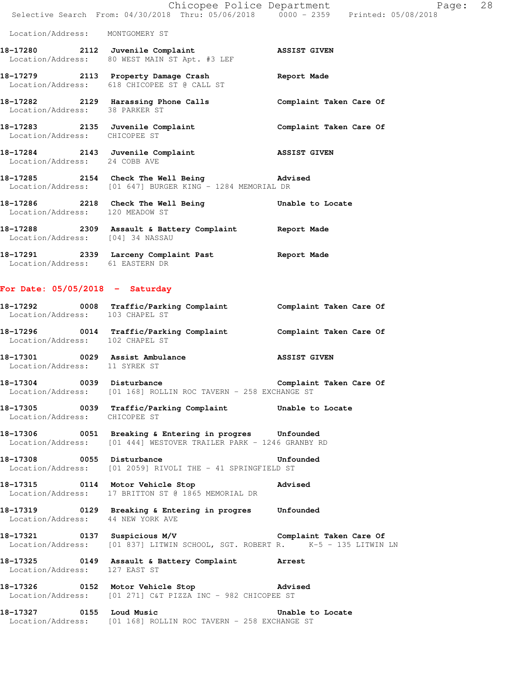|                                  | Chicopee Police Department                                                                                 |                         |  |
|----------------------------------|------------------------------------------------------------------------------------------------------------|-------------------------|--|
|                                  | Selective Search From: 04/30/2018 Thru: 05/06/2018  0000 - 2359  Printed: 05/08/2018                       |                         |  |
| Location/Address: MONTGOMERY ST  |                                                                                                            |                         |  |
|                                  | 18-17280 2112 Juvenile Complaint<br>Location/Address: 80 WEST MAIN ST Apt. #3 LEF                          | <b>ASSIST GIVEN</b>     |  |
|                                  | 18-17279 2113 Property Damage Crash<br>Location/Address: 618 CHICOPEE ST @ CALL ST                         | Report Made             |  |
| Location/Address: 38 PARKER ST   | 18-17282 2129 Harassing Phone Calls                                                                        | Complaint Taken Care Of |  |
| Location/Address: CHICOPEE ST    | 18-17283 2135 Juvenile Complaint                                                                           | Complaint Taken Care Of |  |
| Location/Address: 24 COBB AVE    | 18-17284 2143 Juvenile Complaint                                                                           | <b>ASSIST GIVEN</b>     |  |
|                                  | 18-17285 2154 Check The Well Being 30 Advised<br>Location/Address: [01 647] BURGER KING - 1284 MEMORIAL DR |                         |  |
| Location/Address: 120 MEADOW ST  | 18-17286 2218 Check The Well Being                                                                         | Unable to Locate        |  |
| Location/Address: [04] 34 NASSAU | 18-17288 2309 Assault & Battery Complaint                                                                  | Report Made             |  |

**18-17291 2339 Larceny Complaint Past Report Made**  Location/Address: 61 EASTERN DR

## **For Date: 05/05/2018 - Saturday**

| 18-17292<br>Location/Address: | 0008 | Traffic/Parking Complaint<br>103 CHAPEL ST                        | Complaint Taken Care Of |  |  |
|-------------------------------|------|-------------------------------------------------------------------|-------------------------|--|--|
| 18-17296                      |      | 0014 Traffic/Parking Complaint<br>Location/Address: 102 CHAPEL ST | Complaint Taken Care Of |  |  |
|                               |      |                                                                   |                         |  |  |

**18-17301 0029 Assist Ambulance ASSIST GIVEN**  Location/Address: 11 SYREK ST

**18-17304 0039 Disturbance Complaint Taken Care Of**  Location/Address: [01 168] ROLLIN ROC TAVERN - 258 EXCHANGE ST

**18-17305 0039 Traffic/Parking Complaint Unable to Locate**  Location/Address: CHICOPEE ST

**18-17306 0051 Breaking & Entering in progres Unfounded**  Location/Address: [01 444] WESTOVER TRAILER PARK - 1246 GRANBY RD

**18-17308 0055 Disturbance Unfounded**  Location/Address: [01 2059] RIVOLI THE - 41 SPRINGFIELD ST

**18-17315 0114 Motor Vehicle Stop Advised**  Location/Address: 17 BRITTON ST @ 1865 MEMORIAL DR

**18-17319 0129 Breaking & Entering in progres Unfounded**  Location/Address: 44 NEW YORK AVE

**18-17321 0137 Suspicious M/V Complaint Taken Care Of**  Location/Address: [01 837] LITWIN SCHOOL, SGT. ROBERT R. K-5 - 135 LITWIN LN

**18-17325 0149 Assault & Battery Complaint Arrest**  Location/Address: 127 EAST ST

**18-17326 0152 Motor Vehicle Stop Advised**  Location/Address: [01 271] C&T PIZZA INC - 982 CHICOPEE ST

**18-17327 0155 Loud Music Unable to Locate**  Location/Address: [01 168] ROLLIN ROC TAVERN - 258 EXCHANGE ST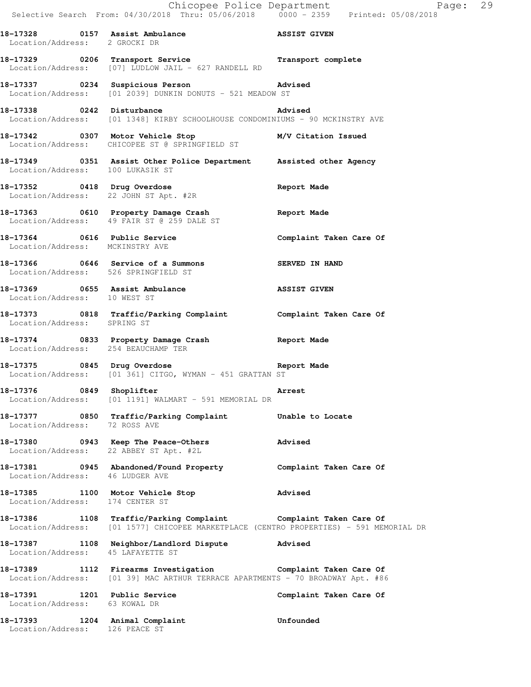Chicopee Police Department Page: 29 Selective Search From: 04/30/2018 Thru: 05/06/2018 0000 - 2359 Printed: 05/08/2018 18-17328 0157 Assist Ambulance **ASSIST GIVEN**  Location/Address: 2 GROCKI DR **18-17329 0206 Transport Service Transport complete**  Location/Address: [07] LUDLOW JAIL - 627 RANDELL RD **18-17337 0234 Suspicious Person Advised**  Location/Address: [01 2039] DUNKIN DONUTS - 521 MEADOW ST **18-17338 0242 Disturbance Advised**  Location/Address: [01 1348] KIRBY SCHOOLHOUSE CONDOMINIUMS - 90 MCKINSTRY AVE **18-17342 0307 Motor Vehicle Stop M/V Citation Issued**  Location/Address: CHICOPEE ST @ SPRINGFIELD ST **18-17349 0351 Assist Other Police Department Assisted other Agency**  Location/Address: 100 LUKASIK ST **18-17352 0418 Drug Overdose Report Made**  Location/Address: 22 JOHN ST Apt. #2R **18-17363 0610 Property Damage Crash Report Made**  Location/Address: 49 FAIR ST @ 259 DALE ST **18-17364 0616 Public Service Complaint Taken Care Of**  Location/Address: MCKINSTRY AVE **18-17366 0646 Service of a Summons SERVED IN HAND**  Location/Address: 526 SPRINGFIELD ST **18-17369 0655 Assist Ambulance ASSIST GIVEN**  Location/Address: 10 WEST ST **18-17373 0818 Traffic/Parking Complaint Complaint Taken Care Of**  Location/Address: SPRING ST **18-17374 0833 Property Damage Crash Report Made**  Location/Address: 254 BEAUCHAMP TER **18-17375 0845 Drug Overdose Report Made**  Location/Address: [01 361] CITGO, WYMAN - 451 GRATTAN ST 18-17376 0849 Shoplifter **Arrest**  Location/Address: [01 1191] WALMART - 591 MEMORIAL DR **18-17377 0850 Traffic/Parking Complaint Unable to Locate**  Location/Address: 72 ROSS AVE **18-17380 0943 Keep The Peace-Others Advised**  Location/Address: 22 ABBEY ST Apt. #2L **18-17381 0945 Abandoned/Found Property Complaint Taken Care Of**  Location/Address: 46 LUDGER AVE **18-17385 1100 Motor Vehicle Stop Advised**  Location/Address: 174 CENTER ST **18-17386 1108 Traffic/Parking Complaint Complaint Taken Care Of**  Location/Address: [01 1577] CHICOPEE MARKETPLACE (CENTRO PROPERTIES) - 591 MEMORIAL DR **18-17387 1108 Neighbor/Landlord Dispute Advised**  Location/Address: 45 LAFAYETTE ST **18-17389 1112 Firearms Investigation Complaint Taken Care Of**  Location/Address: [01 39] MAC ARTHUR TERRACE APARTMENTS - 70 BROADWAY Apt. #86 18-17391 1201 Public Service **1201 1201 Complaint Taken Care Of**  Location/Address: 63 KOWAL DR **18-17393 1204 Animal Complaint Unfounded** 

Location/Address: 126 PEACE ST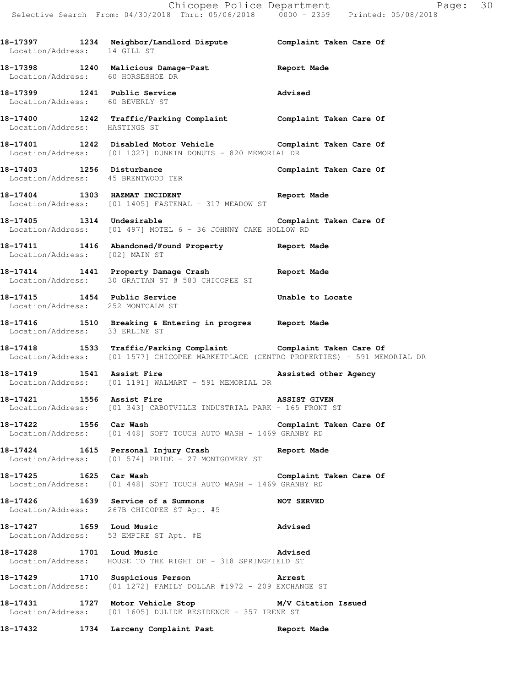**18-17397 1234 Neighbor/Landlord Dispute Complaint Taken Care Of**  Location/Address: 14 GILL ST **18-17398 1240 Malicious Damage-Past Report Made**  Location/Address: 60 HORSESHOE DR **18-17399 1241 Public Service Advised**  Location/Address: 60 BEVERLY ST **18-17400 1242 Traffic/Parking Complaint Complaint Taken Care Of**  Location/Address: HASTINGS ST **18-17401 1242 Disabled Motor Vehicle Complaint Taken Care Of**  Location/Address: [01 1027] DUNKIN DONUTS - 820 MEMORIAL DR 18-17403 1256 Disturbance **18-17403** Complaint Taken Care Of Location/Address: 45 BRENTWOOD TER **18-17404 1303 HAZMAT INCIDENT Report Made**  Location/Address: [01 1405] FASTENAL - 317 MEADOW ST **18-17405 1314 Undesirable Complaint Taken Care Of**  Location/Address: [01 497] MOTEL 6 - 36 JOHNNY CAKE HOLLOW RD **18-17411 1416 Abandoned/Found Property Report Made**  Location/Address: [02] MAIN ST **18-17414 1441 Property Damage Crash Report Made**  Location/Address: 30 GRATTAN ST @ 583 CHICOPEE ST **18-17415 1454 Public Service Unable to Locate**  Location/Address: 252 MONTCALM ST **18-17416 1510 Breaking & Entering in progres Report Made**  Location/Address: 33 ERLINE ST **18-17418 1533 Traffic/Parking Complaint Complaint Taken Care Of**  Location/Address: [01 1577] CHICOPEE MARKETPLACE (CENTRO PROPERTIES) - 591 MEMORIAL DR 18-17419 **1541** Assist Fire **1541** Assisted other Agency Location/Address: [01 1191] WALMART - 591 MEMORIAL DR **18-17421 1556 Assist Fire ASSIST GIVEN**  Location/Address: [01 343] CABOTVILLE INDUSTRIAL PARK - 165 FRONT ST **18-17422 1556 Car Wash Complaint Taken Care Of**  Location/Address: [01 448] SOFT TOUCH AUTO WASH - 1469 GRANBY RD **18-17424 1615 Personal Injury Crash Report Made**  Location/Address: [01 574] PRIDE - 27 MONTGOMERY ST **18-17425 1625 Car Wash Complaint Taken Care Of**  Location/Address: [01 448] SOFT TOUCH AUTO WASH - 1469 GRANBY RD **18-17426 1639 Service of a Summons NOT SERVED**  Location/Address: 267B CHICOPEE ST Apt. #5 **18-17427 1659 Loud Music Advised**  Location/Address: 53 EMPIRE ST Apt. #E **18-17428 1701 Loud Music Advised**  Location/Address: HOUSE TO THE RIGHT OF - 318 SPRINGFIELD ST **18-17429 1710 Suspicious Person Arrest**  Location/Address: [01 1272] FAMILY DOLLAR #1972 - 209 EXCHANGE ST **18-17431 1727 Motor Vehicle Stop M/V Citation Issued**  Location/Address: [01 1605] DULIDE RESIDENCE - 357 IRENE ST **18-17432 1734 Larceny Complaint Past Report Made**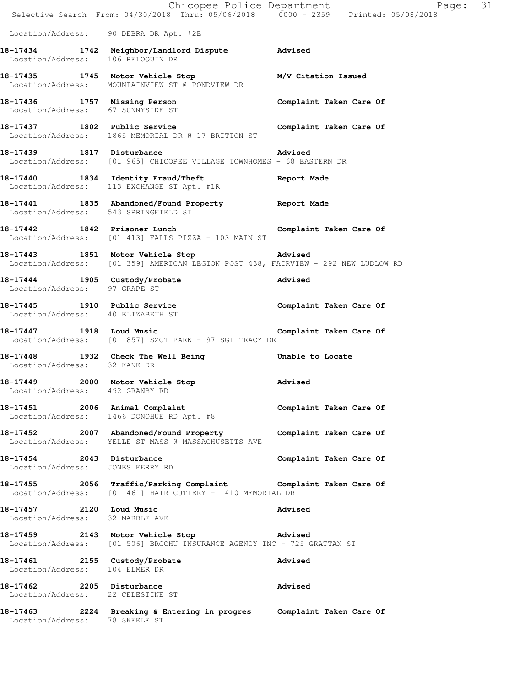|                                                                | E Chicopee Police Department<br>Selective Search From: 04/30/2018 Thru: 05/06/2018 0000 - 2359 Printed: 05/08/2018            | Page: 31                |
|----------------------------------------------------------------|-------------------------------------------------------------------------------------------------------------------------------|-------------------------|
|                                                                | Location/Address: 90 DEBRA DR Apt. #2E                                                                                        |                         |
| Location/Address: 106 PELOQUIN DR                              | 18-17434 1742 Neighbor/Landlord Dispute Advised                                                                               |                         |
|                                                                | 18-17435 1745 Motor Vehicle Stop M/V Citation Issued<br>Location/Address: MOUNTAINVIEW ST @ PONDVIEW DR                       |                         |
| Location/Address: 67 SUNNYSIDE ST                              | 18-17436 1757 Missing Person                                                                                                  | Complaint Taken Care Of |
|                                                                | 18-17437 1802 Public Service Complaint Taken Care Of<br>Location/Address: 1865 MEMORIAL DR @ 17 BRITTON ST                    |                         |
| 18-17439 1817 Disturbance                                      | <b>Example 2018</b> Advised<br>Location/Address: [01 965] CHICOPEE VILLAGE TOWNHOMES - 68 EASTERN DR                          |                         |
|                                                                | 18-17440 1834 Identity Fraud/Theft Report Made Location/Address: 113 EXCHANGE ST Apt. #1R                                     |                         |
| Location/Address: 543 SPRINGFIELD ST                           | 18-17441 1835 Abandoned/Found Property Report Made                                                                            |                         |
|                                                                | 18-17442 1842 Prisoner Lunch<br>Location/Address: [01 413] FALLS PIZZA - 103 MAIN ST                                          | Complaint Taken Care Of |
|                                                                | 18-17443 1851 Motor Vehicle Stop Movised<br>Location/Address: [01 359] AMERICAN LEGION POST 438, FAIRVIEW - 292 NEW LUDLOW RD |                         |
| Location/Address: 97 GRAPE ST                                  | 18-17444 1905 Custody/Probate                                                                                                 | <b>Advised</b>          |
| Location/Address: 40 ELIZABETH ST                              | 18-17445 1910 Public Service Complaint Taken Care Of                                                                          |                         |
|                                                                | 18-17447 1918 Loud Music<br>Location/Address: [01 857] SZOT PARK - 97 SGT TRACY DR                                            | Complaint Taken Care Of |
| Location/Address: 32 KANE DR                                   | 18-17448 1932 Check The Well Being Conable to Locate                                                                          |                         |
| Location/Address: 492 GRANBY RD                                | 18-17449 2000 Motor Vehicle Stop 30 Advised                                                                                   |                         |
| 18-17451 2006 Animal Complaint                                 | Location/Address: 1466 DONOHUE RD Apt. #8                                                                                     | Complaint Taken Care Of |
|                                                                | 18-17452 2007 Abandoned/Found Property Complaint Taken Care Of<br>Location/Address: YELLE ST MASS @ MASSACHUSETTS AVE         |                         |
| 18-17454 2043 Disturbance<br>Location/Address: JONES FERRY RD  |                                                                                                                               | Complaint Taken Care Of |
|                                                                | 18-17455 2056 Traffic/Parking Complaint Complaint Taken Care Of<br>Location/Address: [01 461] HAIR CUTTERY - 1410 MEMORIAL DR |                         |
| 18-17457 2120 Loud Music<br>Location/Address: 32 MARBLE AVE    |                                                                                                                               | Advised                 |
|                                                                | 18-17459 2143 Motor Vehicle Stop 30 Advised<br>Location/Address: [01 506] BROCHU INSURANCE AGENCY INC - 725 GRATTAN ST        |                         |
| Location/Address: 104 ELMER DR                                 | 18-17461 2155 Custody/Probate                                                                                                 | Advised                 |
| 18-17462 2205 Disturbance<br>Location/Address: 22 CELESTINE ST |                                                                                                                               | Advised                 |
| Location/Address: 78 SKEELE ST                                 | 18-17463 2224 Breaking & Entering in progres Complaint Taken Care Of                                                          |                         |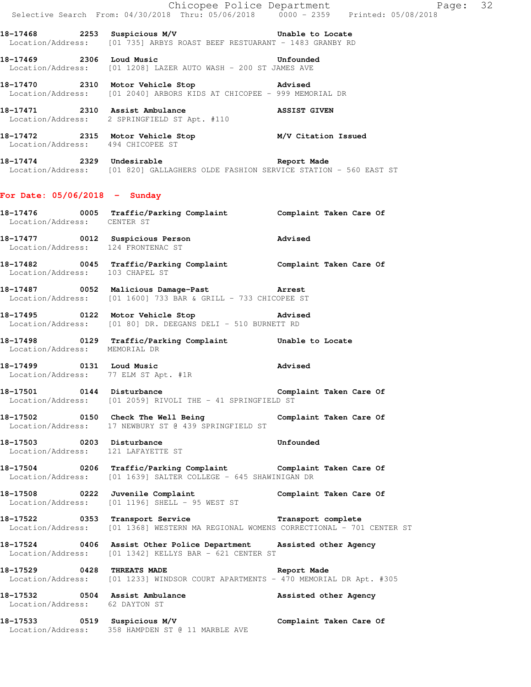|                                                                 |                                                                                                                                                           | Exage: 32<br>Selective Search From: 04/30/2018 Thru: 05/06/2018 0000 - 2359 Printed: 05/08/2018 |  |
|-----------------------------------------------------------------|-----------------------------------------------------------------------------------------------------------------------------------------------------------|-------------------------------------------------------------------------------------------------|--|
|                                                                 | 18-17468 2253 Suspicious M/V Chable to Locate<br>Location/Address: [01 735] ARBYS ROAST BEEF RESTUARANT - 1483 GRANBY RD                                  |                                                                                                 |  |
|                                                                 | 18-17469 2306 Loud Music 2008 2009 2010<br>Location/Address: [01 1208] LAZER AUTO WASH - 200 ST JAMES AVE                                                 |                                                                                                 |  |
|                                                                 | 18-17470 2310 Motor Vehicle Stop Advised<br>Location/Address: [01 2040] ARBORS KIDS AT CHICOPEE - 999 MEMORIAL DR                                         |                                                                                                 |  |
|                                                                 | 18-17471 2310 Assist Ambulance ASSIST GIVEN Location/Address: 2 SPRINGFIELD ST Apt. #110                                                                  |                                                                                                 |  |
|                                                                 | 18-17472 2315 Motor Vehicle Stop M/V Citation Issued<br>Location/Address: 494 CHICOPEE ST                                                                 |                                                                                                 |  |
|                                                                 | 18-17474 2329 Undesirable 2008 Report Made<br>Location/Address: [01 820] GALLAGHERS OLDE FASHION SERVICE STATION - 560 EAST ST                            |                                                                                                 |  |
| For Date: $05/06/2018$ - Sunday                                 |                                                                                                                                                           |                                                                                                 |  |
| Location/Address: CENTER ST                                     | 18-17476 0005 Traffic/Parking Complaint Complaint Taken Care Of                                                                                           |                                                                                                 |  |
| Location/Address: 124 FRONTENAC ST                              | 18-17477 0012 Suspicious Person Movised                                                                                                                   |                                                                                                 |  |
| Location/Address: 103 CHAPEL ST                                 | 18-17482 18-17482 0045 Traffic/Parking Complaint 10 Complaint Taken Care Of                                                                               |                                                                                                 |  |
|                                                                 | 18-17487 0052 Malicious Damage-Past 18-17487<br>Location/Address: [01 1600] 733 BAR & GRILL - 733 CHICOPEE ST                                             |                                                                                                 |  |
|                                                                 | 18-17495 0122 Motor Vehicle Stop 30 Advised<br>Location/Address: [01 80] DR. DEEGANS DELI - 510 BURNETT RD                                                |                                                                                                 |  |
| Location/Address: MEMORIAL DR                                   | 18-17498 0129 Traffic/Parking Complaint Unable to Locate                                                                                                  |                                                                                                 |  |
| Location/Address: 77 ELM ST Apt. #1R                            | 18-17499 0131 Loud Music<br><b>Example 2</b> Advised                                                                                                      |                                                                                                 |  |
|                                                                 | 18-17501 0144 Disturbance Complaint Taken Care Of<br>Location/Address: [01 2059] RIVOLI THE - 41 SPRINGFIELD ST                                           |                                                                                                 |  |
|                                                                 | 18-17502 0150 Check The Well Being Complaint Taken Care Of Location/Address: 17 NEWBURY ST @ 439 SPRINGFIELD ST                                           |                                                                                                 |  |
| 18-17503 0203 Disturbance<br>Location/Address: 121 LAFAYETTE ST |                                                                                                                                                           | Unfounded                                                                                       |  |
|                                                                 | 18-17504 0206 Traffic/Parking Complaint Complaint Taken Care Of<br>Location/Address: [01 1639] SALTER COLLEGE - 645 SHAWINIGAN DR                         |                                                                                                 |  |
|                                                                 | 18-17508 0222 Juvenile Complaint Composition Complaint Taken Care Of<br>Location/Address: [01 1196] SHELL - 95 WEST ST                                    |                                                                                                 |  |
|                                                                 | 18-17522 0353 Transport Service <b>18-17522</b> Transport complete<br>Location/Address: [01 1368] WESTERN MA REGIONAL WOMENS CORRECTIONAL - 701 CENTER ST |                                                                                                 |  |
|                                                                 | 18-17524 0406 Assist Other Police Department Assisted other Agency<br>Location/Address: [01 1342] KELLYS BAR - 621 CENTER ST                              |                                                                                                 |  |
|                                                                 | 18-17529 0428 THREATS MADE <b>SECURITY REPORT MADE</b><br>Location/Address: [01 1233] WINDSOR COURT APARTMENTS - 470 MEMORIAL DR Apt. #305                |                                                                                                 |  |
| Location/Address: 62 DAYTON ST                                  | 18-17532 0504 Assist Ambulance and Assisted other Agency                                                                                                  |                                                                                                 |  |
|                                                                 | 18-17533 0519 Suspicious M/V Complaint Taken Care Of<br>Location/Address: 358 HAMPDEN ST @ 11 MARBLE AVE                                                  |                                                                                                 |  |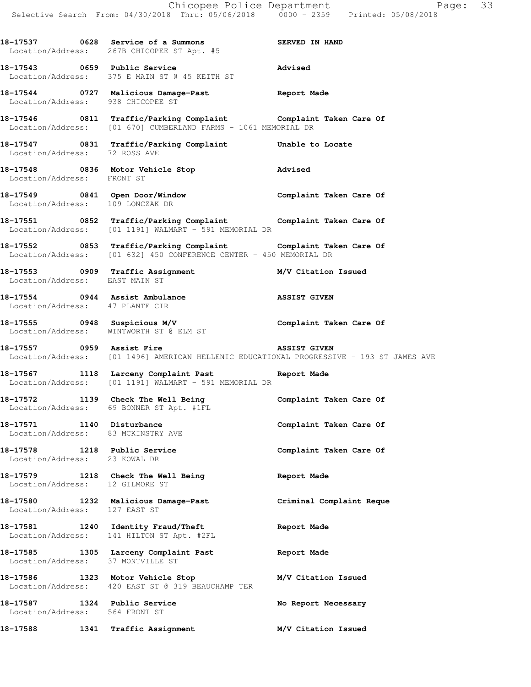|                                   | Chicopee Police Department<br>Selective Search From: 04/30/2018 Thru: 05/06/2018 0000 - 2359 Printed: 05/08/2018                      | Page: 33            |  |
|-----------------------------------|---------------------------------------------------------------------------------------------------------------------------------------|---------------------|--|
|                                   | 18-17537 0628 Service of a Summons SERVED IN HAND<br>Location/Address: 267B CHICOPEE ST Apt. #5                                       |                     |  |
|                                   | 18-17543 0659 Public Service<br>Location/Address: 375 E MAIN ST @ 45 KEITH ST                                                         | Advised             |  |
| Location/Address: 938 CHICOPEE ST | 18-17544 0727 Malicious Damage-Past 18-17544                                                                                          |                     |  |
|                                   | 18-17546 0811 Traffic/Parking Complaint Complaint Taken Care Of<br>Location/Address: [01 670] CUMBERLAND FARMS - 1061 MEMORIAL DR     |                     |  |
| Location/Address: 72 ROSS AVE     | 18-17547 0831 Traffic/Parking Complaint Unable to Locate                                                                              |                     |  |
| Location/Address: FRONT ST        | 18-17548 0836 Motor Vehicle Stop <b>Motor</b> Advised                                                                                 |                     |  |
| Location/Address: 109 LONCZAK DR  | 18-17549 0841 Open Door/Window Complaint Taken Care Of                                                                                |                     |  |
|                                   | 18-17551 0852 Traffic/Parking Complaint Complaint Taken Care Of<br>Location/Address: [01 1191] WALMART - 591 MEMORIAL DR              |                     |  |
|                                   | 18-17552 0853 Traffic/Parking Complaint Complaint Taken Care Of<br>Location/Address: [01 632] 450 CONFERENCE CENTER - 450 MEMORIAL DR |                     |  |
| Location/Address: EAST MAIN ST    | 18-17553 0909 Traffic Assignment M/V Citation Issued                                                                                  |                     |  |
| Location/Address: 47 PLANTE CIR   | 18-17554 0944 Assist Ambulance                                                                                                        | <b>ASSIST GIVEN</b> |  |
|                                   | 18-17555 0948 Suspicious M/V Complaint Taken Care Of<br>Location/Address: WINTWORTH ST @ ELM ST                                       |                     |  |
|                                   | 18-17557 <b>1888</b> 0959 Assist Fire<br>Location/Address: [01 1496] AMERICAN HELLENIC EDUCATIONAL PROGRESSIVE - 193 ST JAMES AVE     | <b>ASSIST GIVEN</b> |  |
|                                   | 18-17567 1118 Larceny Complaint Past<br>Location/Address: [01 1191] WALMART - 591 MEMORIAL DR                                         | Report Made         |  |
|                                   | 18-17572 1139 Check The Well Being Complaint Taken Care Of Location/Address: 69 BONNER ST Apt. #1FL                                   |                     |  |

18-17571 1140 Disturbance **Complaint Taken Care Of** Location/Address: 83 MCKINSTRY AVE

18-17578 1218 Public Service **18-17578** Complaint Taken Care Of Location/Address: 23 KOWAL DR

**18-17579 1218 Check The Well Being Report Made**  Location/Address: 12 GILMORE ST

Location/Address: 127 EAST ST

**18-17581 1240 Identity Fraud/Theft Report Made**  Location/Address: 141 HILTON ST Apt. #2FL

**18-17585 1305 Larceny Complaint Past Report Made**  Location/Address: 37 MONTVILLE ST

**18-17587 1324 Public Service No Report Necessary**  Location/Address: 564 FRONT ST

Location/Address: 420 EAST ST @ 319 BEAUCHAMP TER

**18-17588 1341 Traffic Assignment M/V Citation Issued** 

**18-17580 1232 Malicious Damage-Past Criminal Complaint Reque** 

**18-17586 1323 Motor Vehicle Stop M/V Citation Issued**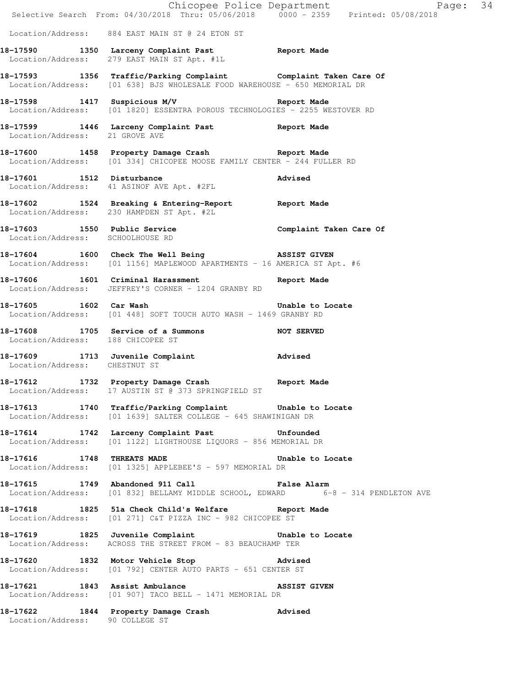|                                   | Extempled Police Department<br>Selective Search From: 04/30/2018 Thru: 05/06/2018 0000 - 2359 Printed: 05/08/2018                            | Page: 34 |  |
|-----------------------------------|----------------------------------------------------------------------------------------------------------------------------------------------|----------|--|
|                                   | Location/Address: 884 EAST MAIN ST @ 24 ETON ST                                                                                              |          |  |
|                                   | 18-17590 1350 Larceny Complaint Past Report Made<br>Location/Address: 279 EAST MAIN ST Apt. #1L                                              |          |  |
|                                   | 18-17593 1356 Traffic/Parking Complaint Complaint Taken Care Of<br>Location/Address: [01 638] BJS WHOLESALE FOOD WAREHOUSE - 650 MEMORIAL DR |          |  |
|                                   | 18-17598 1417 Suspicious M/V 18-17598 Report Made<br>Location/Address: [01 1820] ESSENTRA POROUS TECHNOLOGIES - 2255 WESTOVER RD             |          |  |
| Location/Address: 21 GROVE AVE    | 18-17599 1446 Larceny Complaint Past Report Made                                                                                             |          |  |
|                                   | 18-17600 1458 Property Damage Crash Report Made<br>Location/Address: [01 334] CHICOPEE MOOSE FAMILY CENTER - 244 FULLER RD                   |          |  |
|                                   | 18-17601 1512 Disturbance<br>Location/Address: 41 ASINOF AVE Apt. #2FL                                                                       | Advised  |  |
|                                   | 18-17602 1524 Breaking & Entering-Report Report Made<br>Location/Address: 230 HAMPDEN ST Apt. #2L                                            |          |  |
| Location/Address: SCHOOLHOUSE RD  | 18-17603 1550 Public Service Complaint Taken Care Of                                                                                         |          |  |
|                                   | 18-17604 1600 Check The Well Being 3SSIST GIVEN<br>Location/Address: [01 1156] MAPLEWOOD APARTMENTS - 16 AMERICA ST Apt. #6                  |          |  |
|                                   | 18-17606 1601 Criminal Harassment 18-17606 Made<br>Location/Address: JEFFREY'S CORNER - 1204 GRANBY RD                                       |          |  |
| 18-17605 1602 Car Wash            | <b>Example 19 Unable to Locate</b><br>Location/Address: [01 448] SOFT TOUCH AUTO WASH - 1469 GRANBY RD                                       |          |  |
| Location/Address: 188 CHICOPEE ST | 18-17608 1705 Service of a Summons NOT SERVED                                                                                                |          |  |
| Location/Address: CHESTNUT ST     | 18-17609 1713 Juvenile Complaint Advised                                                                                                     |          |  |
|                                   | 18-17612 1732 Property Damage Crash Report Made<br>Location/Address: 17 AUSTIN ST @ 373 SPRINGFIELD ST                                       |          |  |
|                                   | 18-17613 1740 Traffic/Parking Complaint Unable to Locate<br>Location/Address: [01 1639] SALTER COLLEGE - 645 SHAWINIGAN DR                   |          |  |
|                                   | 18-17614 1742 Larceny Complaint Past Unfounded<br>Location/Address: [01 1122] LIGHTHOUSE LIQUORS - 856 MEMORIAL DR                           |          |  |
|                                   | 18-17616 1748 THREATS MADE 18-17616 to Locate<br>Location/Address: [01 1325] APPLEBEE'S - 597 MEMORIAL DR                                    |          |  |
|                                   | 18-17615 1749 Abandoned 911 Call <b>False Alarm</b><br>Location/Address: [01 832] BELLAMY MIDDLE SCHOOL, EDWARD 6-8 - 314 PENDLETON AVE      |          |  |
|                                   | 18-17618 1825 51a Check Child's Welfare Report Made<br>Location/Address: [01 271] C&T PIZZA INC - 982 CHICOPEE ST                            |          |  |
|                                   | 18-17619 1825 Juvenile Complaint 18-17619 to Locate<br>Location/Address: ACROSS THE STREET FROM - 83 BEAUCHAMP TER                           |          |  |
|                                   | 18-17620 1832 Motor Vehicle Stop 30 Advised<br>Location/Address: [01 792] CENTER AUTO PARTS - 651 CENTER ST                                  |          |  |
| 18-17621 1843 Assist Ambulance    | <b>ASSIST GIVEN</b><br>Location/Address: [01 907] TACO BELL - 1471 MEMORIAL DR                                                               |          |  |
| Location/Address: 90 COLLEGE ST   | 18-17622 1844 Property Damage Crash Movised                                                                                                  |          |  |